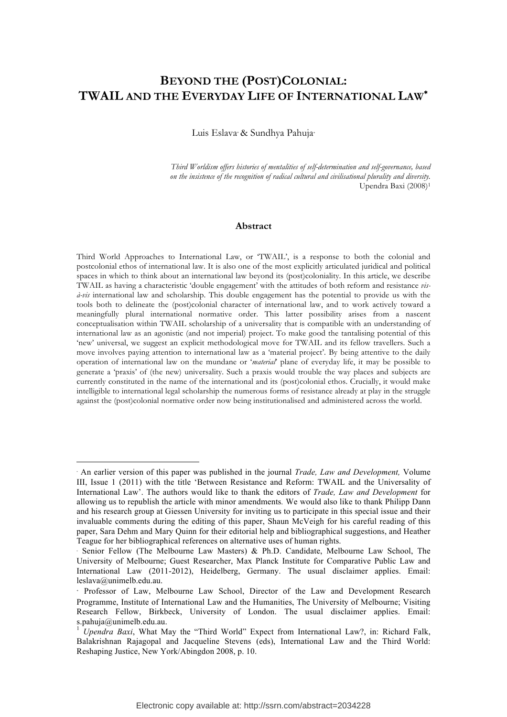# **BEYOND THE (POST)COLONIAL: TWAIL AND THE EVERYDAY LIFE OF INTERNATIONAL LAW**<sup>∗</sup>

Luis Eslava<sup>∗</sup> & Sundhya Pahuja<sup>+</sup>

*Third Worldism offers histories of mentalities of self-determination and self-governance, based on the insistence of the recognition of radical cultural and civilisational plurality and diversity.* Upendra Baxi (2008)1

#### **Abstract**

Third World Approaches to International Law, or 'TWAIL', is a response to both the colonial and postcolonial ethos of international law. It is also one of the most explicitly articulated juridical and political spaces in which to think about an international law beyond its (post)coloniality. In this article, we describe TWAIL as having a characteristic 'double engagement' with the attitudes of both reform and resistance *visà-vis* international law and scholarship. This double engagement has the potential to provide us with the tools both to delineate the (post)colonial character of international law, and to work actively toward a meaningfully plural international normative order. This latter possibility arises from a nascent conceptualisation within TWAIL scholarship of a universality that is compatible with an understanding of international law as an agonistic (and not imperial) project. To make good the tantalising potential of this 'new' universal, we suggest an explicit methodological move for TWAIL and its fellow travellers. Such a move involves paying attention to international law as a 'material project'. By being attentive to the daily operation of international law on the mundane or '*material*' plane of everyday life, it may be possible to generate a 'praxis' of (the new) universality. Such a praxis would trouble the way places and subjects are currently constituted in the name of the international and its (post)colonial ethos. Crucially, it would make intelligible to international legal scholarship the numerous forms of resistance already at play in the struggle against the (post)colonial normative order now being institutionalised and administered across the world.

1

<sup>∗</sup> An earlier version of this paper was published in the journal *Trade, Law and Development,* Volume III, Issue 1 (2011) with the title 'Between Resistance and Reform: TWAIL and the Universality of International Law'. The authors would like to thank the editors of *Trade, Law and Development* for allowing us to republish the article with minor amendments*.* We would also like to thank Philipp Dann and his research group at Giessen University for inviting us to participate in this special issue and their invaluable comments during the editing of this paper, Shaun McVeigh for his careful reading of this paper, Sara Dehm and Mary Quinn for their editorial help and bibliographical suggestions, and Heather Teague for her bibliographical references on alternative uses of human rights.

<sup>∗</sup> Senior Fellow (The Melbourne Law Masters) & Ph.D. Candidate, Melbourne Law School, The University of Melbourne; Guest Researcher, Max Planck Institute for Comparative Public Law and International Law (2011-2012), Heidelberg, Germany. The usual disclaimer applies. Email: leslava@unimelb.edu.au.

<sup>+</sup> Professor of Law, Melbourne Law School, Director of the Law and Development Research Programme, Institute of International Law and the Humanities, The University of Melbourne; Visiting Research Fellow, Birkbeck, University of London. The usual disclaimer applies. Email: s.pahuja@unimelb.edu.au.

<sup>1</sup> *Upendra Baxi*, What May the "Third World" Expect from International Law?, in: Richard Falk, Balakrishnan Rajagopal and Jacqueline Stevens (eds), International Law and the Third World: Reshaping Justice, New York/Abingdon 2008, p. 10.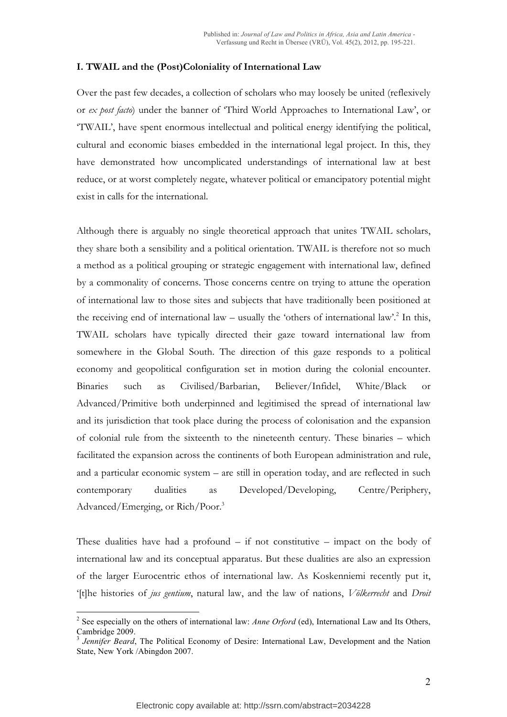# **I. TWAIL and the (Post)Coloniality of International Law**

Over the past few decades, a collection of scholars who may loosely be united (reflexively or *ex post facto*) under the banner of 'Third World Approaches to International Law', or 'TWAIL', have spent enormous intellectual and political energy identifying the political, cultural and economic biases embedded in the international legal project. In this, they have demonstrated how uncomplicated understandings of international law at best reduce, or at worst completely negate, whatever political or emancipatory potential might exist in calls for the international.

Although there is arguably no single theoretical approach that unites TWAIL scholars, they share both a sensibility and a political orientation. TWAIL is therefore not so much a method as a political grouping or strategic engagement with international law, defined by a commonality of concerns. Those concerns centre on trying to attune the operation of international law to those sites and subjects that have traditionally been positioned at the receiving end of international law – usually the 'others of international law'.<sup>2</sup> In this, TWAIL scholars have typically directed their gaze toward international law from somewhere in the Global South. The direction of this gaze responds to a political economy and geopolitical configuration set in motion during the colonial encounter. Binaries such as Civilised/Barbarian, Believer/Infidel, White/Black or Advanced/Primitive both underpinned and legitimised the spread of international law and its jurisdiction that took place during the process of colonisation and the expansion of colonial rule from the sixteenth to the nineteenth century. These binaries – which facilitated the expansion across the continents of both European administration and rule, and a particular economic system – are still in operation today, and are reflected in such contemporary dualities as Developed/Developing, Centre/Periphery, Advanced/Emerging, or Rich/Poor.<sup>3</sup>

These dualities have had a profound  $-$  if not constitutive  $-$  impact on the body of international law and its conceptual apparatus. But these dualities are also an expression of the larger Eurocentric ethos of international law. As Koskenniemi recently put it, '[t]he histories of *jus gentium*, natural law, and the law of nations, *Völkerrecht* and *Droit* 

 $\frac{1}{2}$ <sup>2</sup> See especially on the others of international law: *Anne Orford* (ed), International Law and Its Others, Cambridge 2009. <sup>3</sup> *Jennifer Beard*, The Political Economy of Desire: International Law, Development and the Nation

State, New York /Abingdon 2007.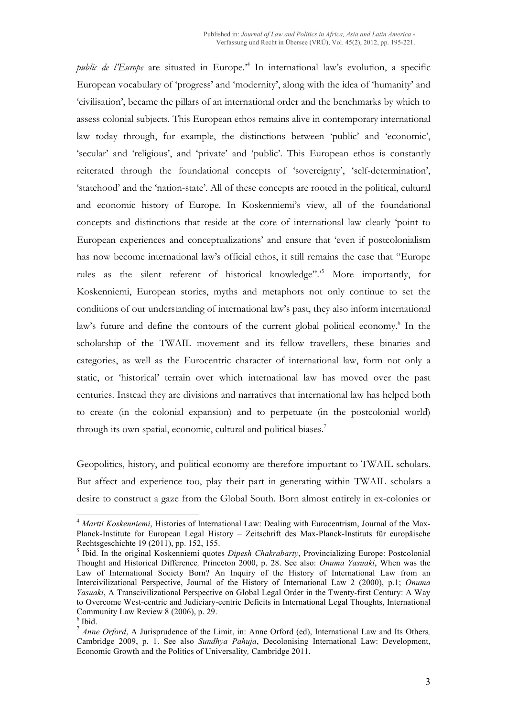public de l'Europe are situated in Europe.<sup>24</sup> In international law's evolution, a specific European vocabulary of 'progress' and 'modernity', along with the idea of 'humanity' and 'civilisation', became the pillars of an international order and the benchmarks by which to assess colonial subjects. This European ethos remains alive in contemporary international law today through, for example, the distinctions between 'public' and 'economic', 'secular' and 'religious', and 'private' and 'public'. This European ethos is constantly reiterated through the foundational concepts of 'sovereignty', 'self-determination', 'statehood' and the 'nation-state'. All of these concepts are rooted in the political, cultural and economic history of Europe. In Koskenniemi's view, all of the foundational concepts and distinctions that reside at the core of international law clearly 'point to European experiences and conceptualizations' and ensure that 'even if postcolonialism has now become international law's official ethos, it still remains the case that "Europe rules as the silent referent of historical knowledge".<sup>5</sup> More importantly, for Koskenniemi, European stories, myths and metaphors not only continue to set the conditions of our understanding of international law's past, they also inform international law's future and define the contours of the current global political economy.<sup>6</sup> In the scholarship of the TWAIL movement and its fellow travellers, these binaries and categories, as well as the Eurocentric character of international law, form not only a static, or 'historical' terrain over which international law has moved over the past centuries. Instead they are divisions and narratives that international law has helped both to create (in the colonial expansion) and to perpetuate (in the postcolonial world) through its own spatial, economic, cultural and political biases.<sup>7</sup>

Geopolitics, history, and political economy are therefore important to TWAIL scholars. But affect and experience too, play their part in generating within TWAIL scholars a desire to construct a gaze from the Global South. Born almost entirely in ex-colonies or

 <sup>4</sup> *Martti Koskenniemi*, Histories of International Law: Dealing with Eurocentrism, Journal of the Max-Planck-Institute for European Legal History – Zeitschrift des Max-Planck-Instituts für europäische Rechtsgeschichte 19 (2011), pp. 152, 155.

<sup>&</sup>lt;sup>5</sup> Ibid. In the original Koskenniemi quotes *Dipesh Chakrabarty*, Provincializing Europe: Postcolonial Thought and Historical Difference*,* Princeton 2000, p. 28. See also: *Onuma Yasuaki*, When was the Law of International Society Born? An Inquiry of the History of International Law from an Intercivilizational Perspective, Journal of the History of International Law 2 (2000), p.1; *Onuma Yasuaki*, A Transcivilizational Perspective on Global Legal Order in the Twenty-first Century: A Way to Overcome West-centric and Judiciary-centric Deficits in International Legal Thoughts, International Community Law Review 8 (2006), p. 29.<br><sup>6</sup> Ibid.

<sup>7</sup> *Anne Orford*, A Jurisprudence of the Limit, in: Anne Orford (ed), International Law and Its Others*,*  Cambridge 2009, p. 1. See also *Sundhya Pahuja*, Decolonising International Law: Development, Economic Growth and the Politics of Universality*,* Cambridge 2011.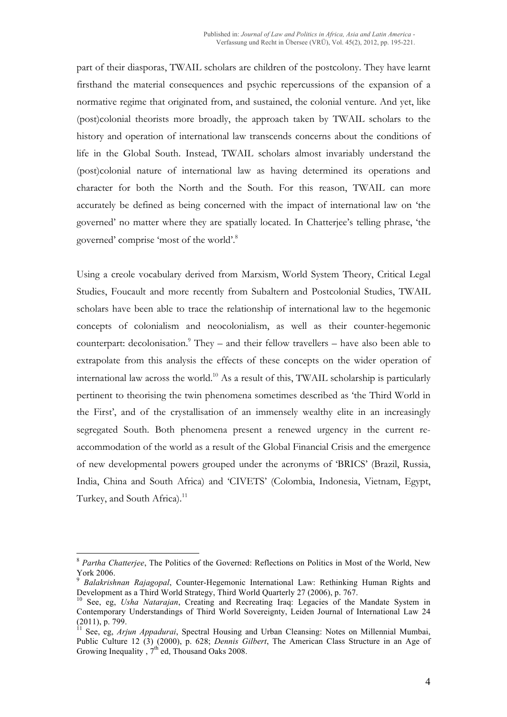part of their diasporas, TWAIL scholars are children of the postcolony. They have learnt firsthand the material consequences and psychic repercussions of the expansion of a normative regime that originated from, and sustained, the colonial venture. And yet, like (post)colonial theorists more broadly, the approach taken by TWAIL scholars to the history and operation of international law transcends concerns about the conditions of life in the Global South. Instead, TWAIL scholars almost invariably understand the (post)colonial nature of international law as having determined its operations and character for both the North and the South. For this reason, TWAIL can more accurately be defined as being concerned with the impact of international law on 'the governed' no matter where they are spatially located. In Chatterjee's telling phrase, 'the governed' comprise 'most of the world'.8

Using a creole vocabulary derived from Marxism, World System Theory, Critical Legal Studies, Foucault and more recently from Subaltern and Postcolonial Studies, TWAIL scholars have been able to trace the relationship of international law to the hegemonic concepts of colonialism and neocolonialism, as well as their counter-hegemonic counterpart: decolonisation. $9$  They – and their fellow travellers – have also been able to extrapolate from this analysis the effects of these concepts on the wider operation of international law across the world.10 As a result of this, TWAIL scholarship is particularly pertinent to theorising the twin phenomena sometimes described as 'the Third World in the First', and of the crystallisation of an immensely wealthy elite in an increasingly segregated South. Both phenomena present a renewed urgency in the current reaccommodation of the world as a result of the Global Financial Crisis and the emergence of new developmental powers grouped under the acronyms of 'BRICS' (Brazil, Russia, India, China and South Africa) and 'CIVETS' (Colombia, Indonesia, Vietnam, Egypt, Turkey, and South Africa).<sup>11</sup>

 <sup>8</sup> *Partha Chatterjee*, The Politics of the Governed: Reflections on Politics in Most of the World, New

York 2006.<br><sup>9</sup> *Balakrishnan Rajagopal*, Counter-Hegemonic International Law: Rethinking Human Rights and Development as a Third World Strategy. Third World Quarterly 27 (2006), p. 767.

<sup>&</sup>lt;sup>10</sup> See, eg, *Usha Natarajan*, Creating and Recreating Iraq: Legacies of the Mandate System in Contemporary Understandings of Third World Sovereignty, Leiden Journal of International Law 24 (2011), p. 799. 11 See, eg, *Arjun Appadurai*, Spectral Housing and Urban Cleansing: Notes on Millennial Mumbai,

Public Culture 12 (3) (2000), p. 628; *Dennis Gilbert*, The American Class Structure in an Age of Growing Inequality,  $7<sup>th</sup>$  ed, Thousand Oaks 2008.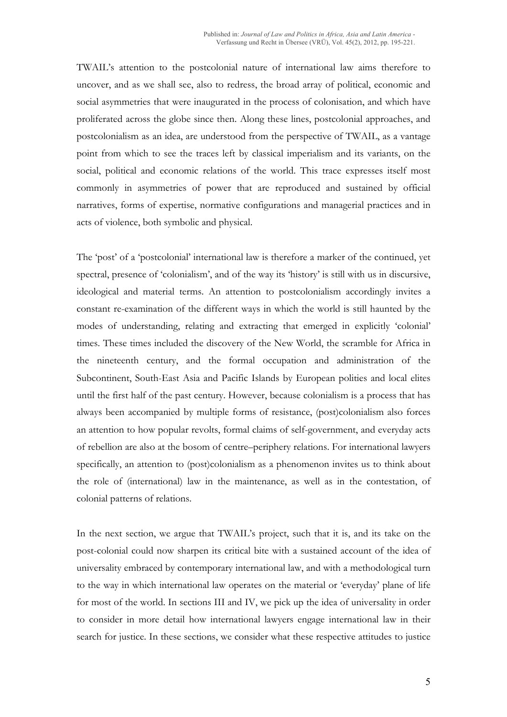TWAIL's attention to the postcolonial nature of international law aims therefore to uncover, and as we shall see, also to redress, the broad array of political, economic and social asymmetries that were inaugurated in the process of colonisation, and which have proliferated across the globe since then. Along these lines, postcolonial approaches, and postcolonialism as an idea, are understood from the perspective of TWAIL, as a vantage point from which to see the traces left by classical imperialism and its variants, on the social, political and economic relations of the world. This trace expresses itself most commonly in asymmetries of power that are reproduced and sustained by official narratives, forms of expertise, normative configurations and managerial practices and in acts of violence, both symbolic and physical.

The 'post' of a 'postcolonial' international law is therefore a marker of the continued, yet spectral, presence of 'colonialism', and of the way its 'history' is still with us in discursive, ideological and material terms. An attention to postcolonialism accordingly invites a constant re-examination of the different ways in which the world is still haunted by the modes of understanding, relating and extracting that emerged in explicitly 'colonial' times. These times included the discovery of the New World, the scramble for Africa in the nineteenth century, and the formal occupation and administration of the Subcontinent, South-East Asia and Pacific Islands by European polities and local elites until the first half of the past century. However, because colonialism is a process that has always been accompanied by multiple forms of resistance, (post)colonialism also forces an attention to how popular revolts, formal claims of self-government, and everyday acts of rebellion are also at the bosom of centre–periphery relations. For international lawyers specifically, an attention to (post)colonialism as a phenomenon invites us to think about the role of (international) law in the maintenance, as well as in the contestation, of colonial patterns of relations.

In the next section, we argue that TWAIL's project, such that it is, and its take on the post-colonial could now sharpen its critical bite with a sustained account of the idea of universality embraced by contemporary international law, and with a methodological turn to the way in which international law operates on the material or 'everyday' plane of life for most of the world. In sections III and IV, we pick up the idea of universality in order to consider in more detail how international lawyers engage international law in their search for justice. In these sections, we consider what these respective attitudes to justice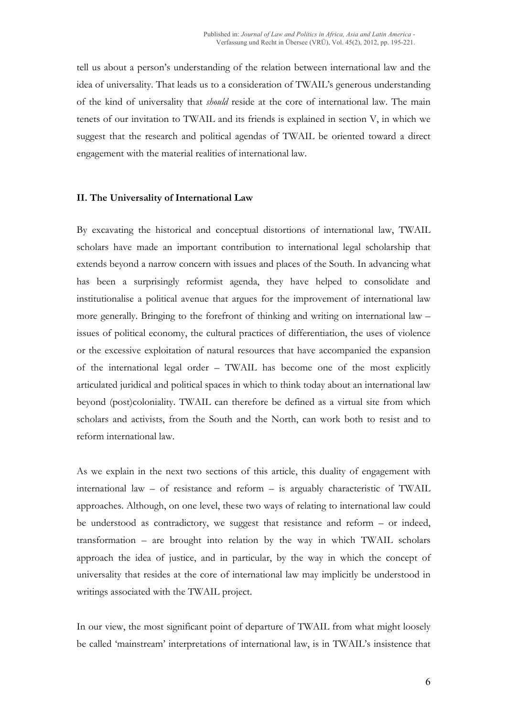tell us about a person's understanding of the relation between international law and the idea of universality. That leads us to a consideration of TWAIL's generous understanding of the kind of universality that *should* reside at the core of international law. The main tenets of our invitation to TWAIL and its friends is explained in section V, in which we suggest that the research and political agendas of TWAIL be oriented toward a direct engagement with the material realities of international law.

### **II. The Universality of International Law**

By excavating the historical and conceptual distortions of international law, TWAIL scholars have made an important contribution to international legal scholarship that extends beyond a narrow concern with issues and places of the South. In advancing what has been a surprisingly reformist agenda, they have helped to consolidate and institutionalise a political avenue that argues for the improvement of international law more generally. Bringing to the forefront of thinking and writing on international law – issues of political economy, the cultural practices of differentiation, the uses of violence or the excessive exploitation of natural resources that have accompanied the expansion of the international legal order – TWAIL has become one of the most explicitly articulated juridical and political spaces in which to think today about an international law beyond (post)coloniality. TWAIL can therefore be defined as a virtual site from which scholars and activists, from the South and the North, can work both to resist and to reform international law.

As we explain in the next two sections of this article, this duality of engagement with international law – of resistance and reform – is arguably characteristic of TWAIL approaches. Although, on one level, these two ways of relating to international law could be understood as contradictory, we suggest that resistance and reform – or indeed, transformation – are brought into relation by the way in which TWAIL scholars approach the idea of justice, and in particular, by the way in which the concept of universality that resides at the core of international law may implicitly be understood in writings associated with the TWAIL project.

In our view, the most significant point of departure of TWAIL from what might loosely be called 'mainstream' interpretations of international law, is in TWAIL's insistence that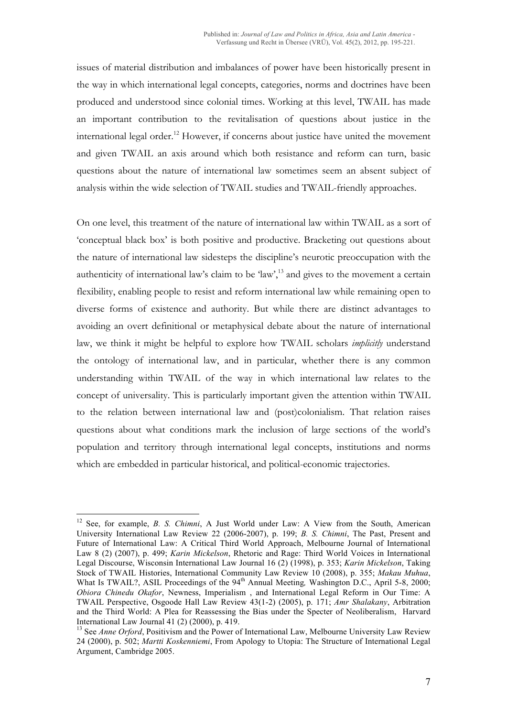issues of material distribution and imbalances of power have been historically present in the way in which international legal concepts, categories, norms and doctrines have been produced and understood since colonial times. Working at this level, TWAIL has made an important contribution to the revitalisation of questions about justice in the international legal order.<sup>12</sup> However, if concerns about justice have united the movement and given TWAIL an axis around which both resistance and reform can turn, basic questions about the nature of international law sometimes seem an absent subject of analysis within the wide selection of TWAIL studies and TWAIL-friendly approaches.

On one level, this treatment of the nature of international law within TWAIL as a sort of 'conceptual black box' is both positive and productive. Bracketing out questions about the nature of international law sidesteps the discipline's neurotic preoccupation with the authenticity of international law's claim to be 'law',<sup>13</sup> and gives to the movement a certain flexibility, enabling people to resist and reform international law while remaining open to diverse forms of existence and authority. But while there are distinct advantages to avoiding an overt definitional or metaphysical debate about the nature of international law, we think it might be helpful to explore how TWAIL scholars *implicitly* understand the ontology of international law, and in particular, whether there is any common understanding within TWAIL of the way in which international law relates to the concept of universality. This is particularly important given the attention within TWAIL to the relation between international law and (post)colonialism. That relation raises questions about what conditions mark the inclusion of large sections of the world's population and territory through international legal concepts, institutions and norms which are embedded in particular historical, and political-economic trajectories.

<sup>&</sup>lt;sup>12</sup> See, for example, *B. S. Chimni*, A Just World under Law: A View from the South, American University International Law Review 22 (2006-2007), p. 199; *B. S. Chimni*, The Past, Present and Future of International Law: A Critical Third World Approach, Melbourne Journal of International Law 8 (2) (2007), p. 499; *Karin Mickelson*, Rhetoric and Rage: Third World Voices in International Legal Discourse, Wisconsin International Law Journal 16 (2) (1998), p. 353; *Karin Mickelson*, Taking Stock of TWAIL Histories, International Community Law Review 10 (2008), p. 355; *Makau Muhua*, What Is TWAIL?, ASIL Proceedings of the 94<sup>th</sup> Annual Meeting, Washington D.C., April 5-8, 2000; *Obiora Chinedu Okafor*, Newness, Imperialism , and International Legal Reform in Our Time: A TWAIL Perspective, Osgoode Hall Law Review 43(1-2) (2005), p. 171; *Amr Shalakany*, Arbitration and the Third World: A Plea for Reassessing the Bias under the Specter of Neoliberalism, Harvard International Law Journal 41 (2) (2000), p. 419.

<sup>&</sup>lt;sup>13</sup> See *Anne Orford*, Positivism and the Power of International Law, Melbourne University Law Review 24 (2000), p. 502; *Martti Koskenniemi*, From Apology to Utopia: The Structure of International Legal Argument, Cambridge 2005.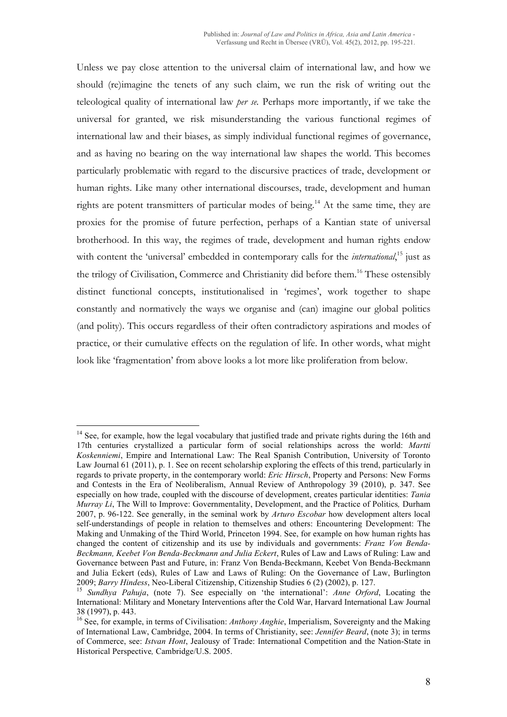Unless we pay close attention to the universal claim of international law, and how we should (re)imagine the tenets of any such claim, we run the risk of writing out the teleological quality of international law *per se.* Perhaps more importantly, if we take the universal for granted, we risk misunderstanding the various functional regimes of international law and their biases, as simply individual functional regimes of governance, and as having no bearing on the way international law shapes the world. This becomes particularly problematic with regard to the discursive practices of trade, development or human rights. Like many other international discourses, trade, development and human rights are potent transmitters of particular modes of being.<sup>14</sup> At the same time, they are proxies for the promise of future perfection, perhaps of a Kantian state of universal brotherhood. In this way, the regimes of trade, development and human rights endow with content the 'universal' embedded in contemporary calls for the *international*,<sup>15</sup> just as the trilogy of Civilisation, Commerce and Christianity did before them.<sup>16</sup> These ostensibly distinct functional concepts, institutionalised in 'regimes', work together to shape constantly and normatively the ways we organise and (can) imagine our global politics (and polity). This occurs regardless of their often contradictory aspirations and modes of practice, or their cumulative effects on the regulation of life. In other words, what might look like 'fragmentation' from above looks a lot more like proliferation from below.

 $14$  See, for example, how the legal vocabulary that justified trade and private rights during the 16th and 17th centuries crystallized a particular form of social relationships across the world: *Martti Koskenniemi*, Empire and International Law: The Real Spanish Contribution, University of Toronto Law Journal 61 (2011), p. 1. See on recent scholarship exploring the effects of this trend, particularly in regards to private property, in the contemporary world: *Eric Hirsch*, Property and Persons: New Forms and Contests in the Era of Neoliberalism, Annual Review of Anthropology 39 (2010), p. 347. See especially on how trade, coupled with the discourse of development, creates particular identities: *Tania Murray Li*, The Will to Improve: Governmentality, Development, and the Practice of Politics*,* Durham 2007, p. 96-122. See generally, in the seminal work by *Arturo Escobar* how development alters local self-understandings of people in relation to themselves and others: Encountering Development: The Making and Unmaking of the Third World, Princeton 1994. See, for example on how human rights has changed the content of citizenship and its use by individuals and governments: *Franz Von Benda-Beckmann, Keebet Von Benda-Beckmann and Julia Eckert*, Rules of Law and Laws of Ruling: Law and Governance between Past and Future, in: Franz Von Benda-Beckmann, Keebet Von Benda-Beckmann and Julia Eckert (eds), Rules of Law and Laws of Ruling: On the Governance of Law, Burlington 2009; *Barry Hindess*, Neo-Liberal Citizenship, Citizenship Studies  $6(2)(2002)$ , p. 127.

<sup>&</sup>lt;sup>15</sup> Sundhya Pahuja, (note 7). See especially on 'the international': *Anne Orford*, Locating the International: Military and Monetary Interventions after the Cold War, Harvard International Law Journal <sup>38</sup> (1997), p. 443. 16 See, for example, in terms of Civilisation: *Anthony Anghie*, Imperialism, Sovereignty and the Making

of International Law, Cambridge, 2004. In terms of Christianity, see: *Jennifer Beard*, (note 3); in terms of Commerce, see: *Istvan Hont*, Jealousy of Trade: International Competition and the Nation-State in Historical Perspective*,* Cambridge/U.S. 2005.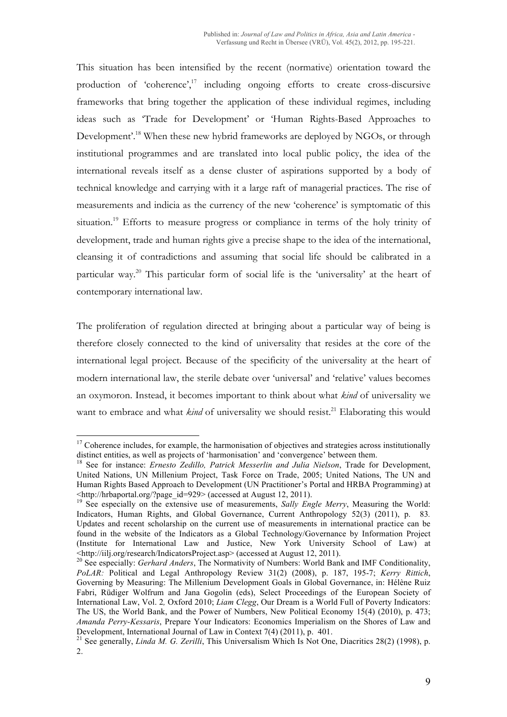This situation has been intensified by the recent (normative) orientation toward the production of 'coherence', $17$  including ongoing efforts to create cross-discursive frameworks that bring together the application of these individual regimes, including ideas such as 'Trade for Development' or 'Human Rights-Based Approaches to Development'.18 When these new hybrid frameworks are deployed by NGOs, or through institutional programmes and are translated into local public policy, the idea of the international reveals itself as a dense cluster of aspirations supported by a body of technical knowledge and carrying with it a large raft of managerial practices. The rise of measurements and indicia as the currency of the new 'coherence' is symptomatic of this situation.<sup>19</sup> Efforts to measure progress or compliance in terms of the holy trinity of development, trade and human rights give a precise shape to the idea of the international, cleansing it of contradictions and assuming that social life should be calibrated in a particular way.20 This particular form of social life is the 'universality' at the heart of contemporary international law.

The proliferation of regulation directed at bringing about a particular way of being is therefore closely connected to the kind of universality that resides at the core of the international legal project. Because of the specificity of the universality at the heart of modern international law, the sterile debate over 'universal' and 'relative' values becomes an oxymoron. Instead, it becomes important to think about what *kind* of universality we want to embrace and what *kind* of universality we should resist.<sup>21</sup> Elaborating this would

<sup>&</sup>lt;sup>17</sup> Coherence includes, for example, the harmonisation of objectives and strategies across institutionally distinct entities, as well as projects of 'harmonisation' and 'convergence' between them.

<sup>18</sup> See for instance: *Ernesto Zedillo, Patrick Messerlin and Julia Nielson*, Trade for Development, United Nations, UN Millenium Project, Task Force on Trade, 2005; United Nations, The UN and Human Rights Based Approach to Development (UN Practitioner's Portal and HRBA Programming) at

<sup>&</sup>lt;http://hrbaportal.org/?page\_id=929> (accessed at August 12, 2011). 19 See especially on the extensive use of measurements, *Sally Engle Merry*, Measuring the World: Indicators, Human Rights, and Global Governance, Current Anthropology 52(3) (2011), p. 83*.* Updates and recent scholarship on the current use of measurements in international practice can be found in the website of the Indicators as a Global Technology/Governance by Information Project (Institute for International Law and Justice, New York University School of Law) at <http://iilj.org/research/IndicatorsProject.asp> (accessed at August 12, 2011). 20 See especially: *Gerhard Anders*, The Normativity of Numbers: World Bank and IMF Conditionality,

*PoLAR:* Political and Legal Anthropology Review 31(2) (2008), p. 187, 195-7; *Kerry Rittich*, Governing by Measuring: The Millenium Development Goals in Global Governance, in: Hélène Ruiz Fabri, Rüdiger Wolfrum and Jana Gogolin (eds), Select Proceedings of the European Society of International Law, Vol. 2*,* Oxford 2010; *Liam Clegg*, Our Dream is a World Full of Poverty Indicators: The US, the World Bank, and the Power of Numbers, New Political Economy 15(4) (2010), p. 473; *Amanda Perry-Kessaris*, Prepare Your Indicators: Economics Imperialism on the Shores of Law and Development, International Journal of Law in Context 7(4) (2011), p. 401. 21 See generally, *Linda M. G. Zerilli*, This Universalism Which Is Not One, Diacritics 28(2) (1998), p.

<sup>2.</sup>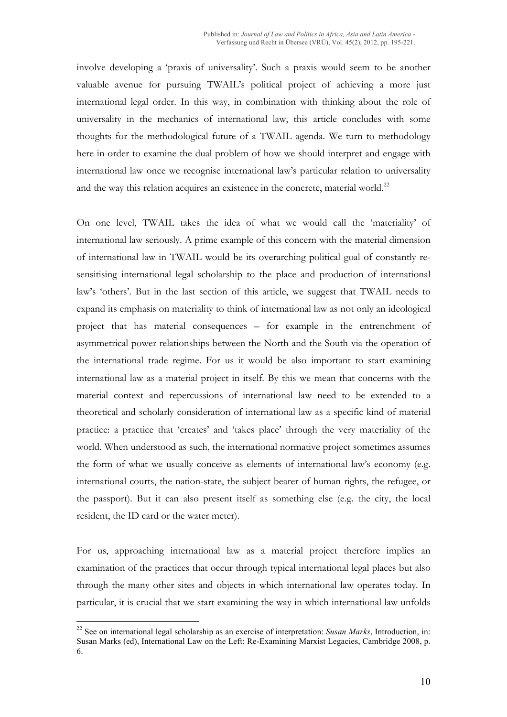involve developing a 'praxis of universality'. Such a praxis would seem to be another valuable avenue for pursuing TWAIL's political project of achieving a more just international legal order. In this way, in combination with thinking about the role of universality in the mechanics of international law, this article concludes with some thoughts for the methodological future of a TWAIL agenda. We turn to methodology here in order to examine the dual problem of how we should interpret and engage with international law once we recognise international law's particular relation to universality and the way this relation acquires an existence in the concrete, material world.<sup>22</sup>

On one level, TWAIL takes the idea of what we would call the 'materiality' of international law seriously. A prime example of this concern with the material dimension of international law in TWAIL would be its overarching political goal of constantly resensitising international legal scholarship to the place and production of international law's 'others'. But in the last section of this article, we suggest that TWAIL needs to expand its emphasis on materiality to think of international law as not only an ideological project that has material consequences – for example in the entrenchment of asymmetrical power relationships between the North and the South via the operation of the international trade regime. For us it would be also important to start examining international law as a material project in itself. By this we mean that concerns with the material context and repercussions of international law need to be extended to a theoretical and scholarly consideration of international law as a specific kind of material practice: a practice that 'creates' and 'takes place' through the very materiality of the world. When understood as such, the international normative project sometimes assumes the form of what we usually conceive as elements of international law's economy (e.g. international courts, the nation-state, the subject bearer of human rights, the refugee, or the passport). But it can also present itself as something else (e.g. the city, the local resident, the ID card or the water meter).

For us, approaching international law as a material project therefore implies an examination of the practices that occur through typical international legal places but also through the many other sites and objects in which international law operates today. In particular, it is crucial that we start examining the way in which international law unfolds

 <sup>22</sup> See on international legal scholarship as an exercise of interpretation: *Susan Marks*, Introduction, in: Susan Marks (ed), International Law on the Left: Re-Examining Marxist Legacies, Cambridge 2008, p. 6.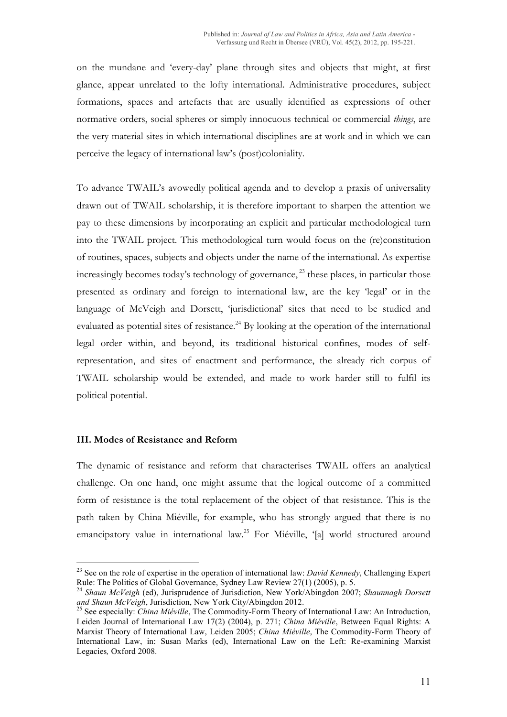on the mundane and 'every-day' plane through sites and objects that might, at first glance, appear unrelated to the lofty international. Administrative procedures, subject formations, spaces and artefacts that are usually identified as expressions of other normative orders, social spheres or simply innocuous technical or commercial *things*, are the very material sites in which international disciplines are at work and in which we can perceive the legacy of international law's (post)coloniality.

To advance TWAIL's avowedly political agenda and to develop a praxis of universality drawn out of TWAIL scholarship, it is therefore important to sharpen the attention we pay to these dimensions by incorporating an explicit and particular methodological turn into the TWAIL project. This methodological turn would focus on the (re)constitution of routines, spaces, subjects and objects under the name of the international. As expertise increasingly becomes today's technology of governance,  $^{23}$  these places, in particular those presented as ordinary and foreign to international law, are the key 'legal' or in the language of McVeigh and Dorsett, 'jurisdictional' sites that need to be studied and evaluated as potential sites of resistance.<sup>24</sup> By looking at the operation of the international legal order within, and beyond, its traditional historical confines, modes of selfrepresentation, and sites of enactment and performance, the already rich corpus of TWAIL scholarship would be extended, and made to work harder still to fulfil its political potential.

# **III. Modes of Resistance and Reform**

The dynamic of resistance and reform that characterises TWAIL offers an analytical challenge. On one hand, one might assume that the logical outcome of a committed form of resistance is the total replacement of the object of that resistance. This is the path taken by China Miéville, for example, who has strongly argued that there is no emancipatory value in international law.<sup>25</sup> For Miéville, '[a] world structured around

<sup>&</sup>lt;sup>23</sup> See on the role of expertise in the operation of international law: *David Kennedy*, Challenging Expert Rule: The Politics of Global Governance, Sydney Law Review  $27(1)$  (2005), p. 5.

<sup>&</sup>lt;sup>24</sup> Shaun McVeigh (ed), Jurisprudence of Jurisdiction, New York/Abingdon 2007; *Shaunnagh Dorsett and Shaun McVeigh*, Jurisdiction, New York City/Abingdon 2012.

<sup>&</sup>lt;sup>25</sup> See especially: *China Miéville*, The Commodity-Form Theory of International Law: An Introduction, Leiden Journal of International Law 17(2) (2004), p. 271; *China Miéville*, Between Equal Rights: A Marxist Theory of International Law, Leiden 2005; *China Miéville*, The Commodity-Form Theory of International Law, in: Susan Marks (ed), International Law on the Left: Re-examining Marxist Legacies*,* Oxford 2008.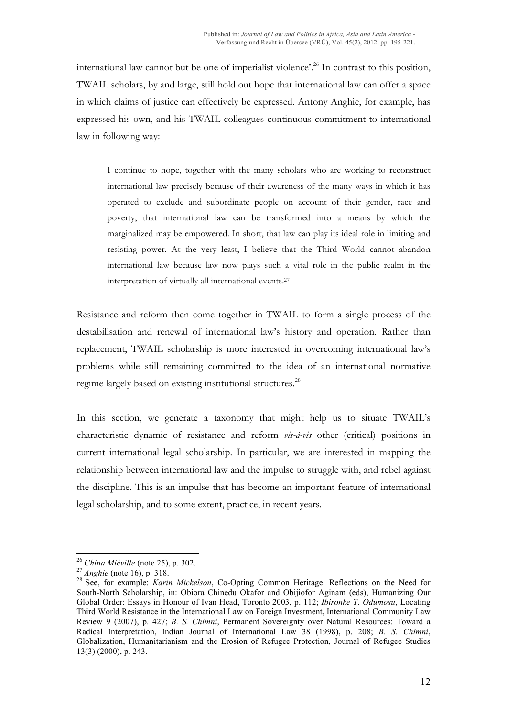international law cannot but be one of imperialist violence'.26 In contrast to this position, TWAIL scholars, by and large, still hold out hope that international law can offer a space in which claims of justice can effectively be expressed. Antony Anghie, for example, has expressed his own, and his TWAIL colleagues continuous commitment to international law in following way:

I continue to hope, together with the many scholars who are working to reconstruct international law precisely because of their awareness of the many ways in which it has operated to exclude and subordinate people on account of their gender, race and poverty, that international law can be transformed into a means by which the marginalized may be empowered. In short, that law can play its ideal role in limiting and resisting power. At the very least, I believe that the Third World cannot abandon international law because law now plays such a vital role in the public realm in the interpretation of virtually all international events.27

Resistance and reform then come together in TWAIL to form a single process of the destabilisation and renewal of international law's history and operation. Rather than replacement, TWAIL scholarship is more interested in overcoming international law's problems while still remaining committed to the idea of an international normative regime largely based on existing institutional structures.<sup>28</sup>

In this section, we generate a taxonomy that might help us to situate TWAIL's characteristic dynamic of resistance and reform *vis-à-vis* other (critical) positions in current international legal scholarship. In particular, we are interested in mapping the relationship between international law and the impulse to struggle with, and rebel against the discipline. This is an impulse that has become an important feature of international legal scholarship, and to some extent, practice, in recent years.

<sup>&</sup>lt;sup>26</sup> *China Miéville* (note 25), p. 302.<br><sup>27</sup> *Anghie* (note 16), p. 318.<br><sup>28</sup> See, for example: *Karin Mickelson*, Co-Opting Common Heritage: Reflections on the Need for South-North Scholarship, in: Obiora Chinedu Okafor and Obijiofor Aginam (eds), Humanizing Our Global Order: Essays in Honour of Ivan Head, Toronto 2003, p. 112; *Ibironke T. Odumosu*, Locating Third World Resistance in the International Law on Foreign Investment, International Community Law Review 9 (2007), p. 427; *B. S. Chimni*, Permanent Sovereignty over Natural Resources: Toward a Radical Interpretation, Indian Journal of International Law 38 (1998), p. 208; *B. S. Chimni*, Globalization, Humanitarianism and the Erosion of Refugee Protection, Journal of Refugee Studies 13(3) (2000), p. 243.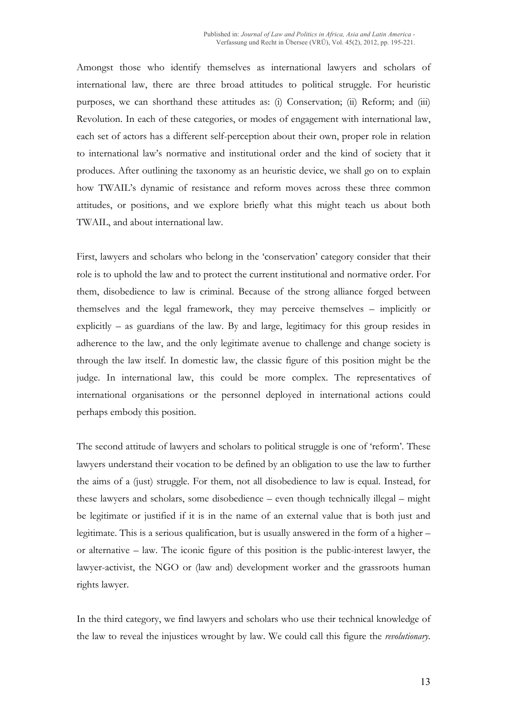Amongst those who identify themselves as international lawyers and scholars of international law, there are three broad attitudes to political struggle. For heuristic purposes, we can shorthand these attitudes as: (i) Conservation; (ii) Reform; and (iii) Revolution. In each of these categories, or modes of engagement with international law, each set of actors has a different self-perception about their own, proper role in relation to international law's normative and institutional order and the kind of society that it produces. After outlining the taxonomy as an heuristic device, we shall go on to explain how TWAIL's dynamic of resistance and reform moves across these three common attitudes, or positions, and we explore briefly what this might teach us about both TWAIL, and about international law.

First, lawyers and scholars who belong in the 'conservation' category consider that their role is to uphold the law and to protect the current institutional and normative order. For them, disobedience to law is criminal. Because of the strong alliance forged between themselves and the legal framework, they may perceive themselves – implicitly or explicitly – as guardians of the law. By and large, legitimacy for this group resides in adherence to the law, and the only legitimate avenue to challenge and change society is through the law itself. In domestic law, the classic figure of this position might be the judge. In international law, this could be more complex. The representatives of international organisations or the personnel deployed in international actions could perhaps embody this position.

The second attitude of lawyers and scholars to political struggle is one of 'reform'. These lawyers understand their vocation to be defined by an obligation to use the law to further the aims of a (just) struggle. For them, not all disobedience to law is equal. Instead, for these lawyers and scholars, some disobedience – even though technically illegal – might be legitimate or justified if it is in the name of an external value that is both just and legitimate. This is a serious qualification, but is usually answered in the form of a higher – or alternative – law. The iconic figure of this position is the public-interest lawyer, the lawyer-activist, the NGO or (law and) development worker and the grassroots human rights lawyer.

In the third category, we find lawyers and scholars who use their technical knowledge of the law to reveal the injustices wrought by law. We could call this figure the *revolutionary*.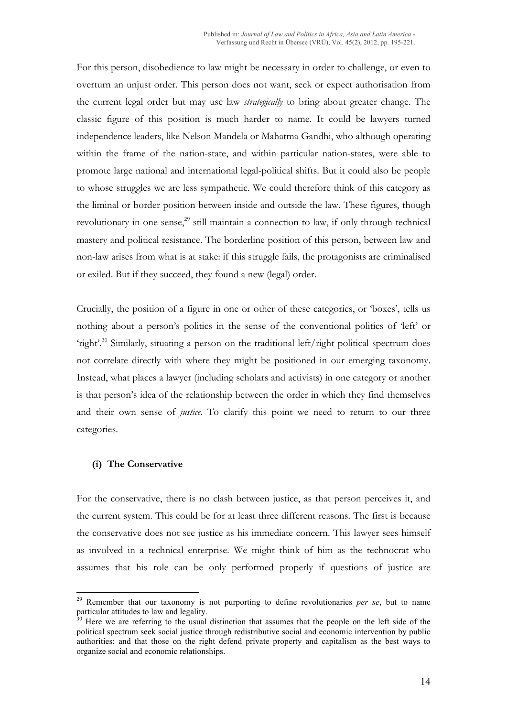For this person, disobedience to law might be necessary in order to challenge, or even to overturn an unjust order. This person does not want, seek or expect authorisation from the current legal order but may use law *strategically* to bring about greater change. The classic figure of this position is much harder to name. It could be lawyers turned independence leaders, like Nelson Mandela or Mahatma Gandhi, who although operating within the frame of the nation-state, and within particular nation-states, were able to promote large national and international legal-political shifts. But it could also be people to whose struggles we are less sympathetic. We could therefore think of this category as the liminal or border position between inside and outside the law. These figures, though revolutionary in one sense, $^{29}$  still maintain a connection to law, if only through technical mastery and political resistance. The borderline position of this person, between law and non-law arises from what is at stake: if this struggle fails, the protagonists are criminalised or exiled. But if they succeed, they found a new (legal) order.

Crucially, the position of a figure in one or other of these categories, or 'boxes', tells us nothing about a person's politics in the sense of the conventional politics of 'left' or 'right'.30 Similarly, situating a person on the traditional left/right political spectrum does not correlate directly with where they might be positioned in our emerging taxonomy. Instead, what places a lawyer (including scholars and activists) in one category or another is that person's idea of the relationship between the order in which they find themselves and their own sense of *justice*. To clarify this point we need to return to our three categories.

# **(i) The Conservative**

For the conservative, there is no clash between justice, as that person perceives it, and the current system. This could be for at least three different reasons. The first is because the conservative does not see justice as his immediate concern. This lawyer sees himself as involved in a technical enterprise. We might think of him as the technocrat who assumes that his role can be only performed properly if questions of justice are

 <sup>29</sup> Remember that our taxonomy is not purporting to define revolutionaries *per se*, but to name particular attitudes to law and legality.

<sup>30</sup> Here we are referring to the usual distinction that assumes that the people on the left side of the political spectrum seek social justice through redistributive social and economic intervention by public authorities; and that those on the right defend private property and capitalism as the best ways to organize social and economic relationships.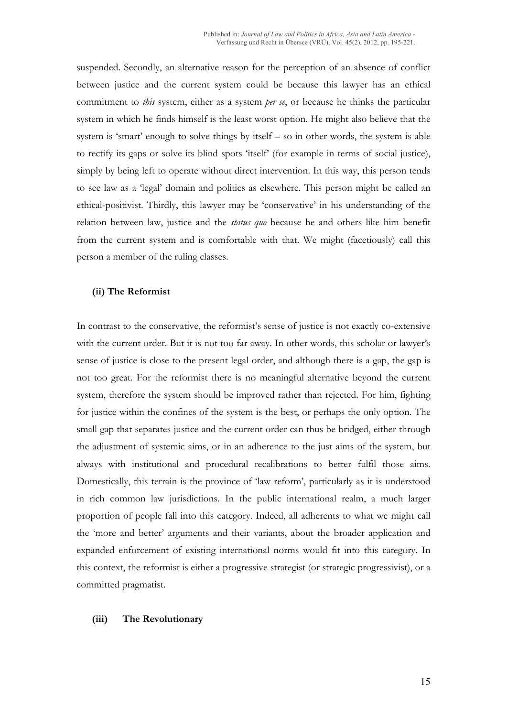suspended. Secondly, an alternative reason for the perception of an absence of conflict between justice and the current system could be because this lawyer has an ethical commitment to *this* system, either as a system *per se*, or because he thinks the particular system in which he finds himself is the least worst option. He might also believe that the system is 'smart' enough to solve things by itself – so in other words, the system is able to rectify its gaps or solve its blind spots 'itself' (for example in terms of social justice), simply by being left to operate without direct intervention. In this way, this person tends to see law as a 'legal' domain and politics as elsewhere. This person might be called an ethical-positivist. Thirdly, this lawyer may be 'conservative' in his understanding of the relation between law, justice and the *status quo* because he and others like him benefit from the current system and is comfortable with that. We might (facetiously) call this person a member of the ruling classes.

### **(ii) The Reformist**

In contrast to the conservative, the reformist's sense of justice is not exactly co-extensive with the current order. But it is not too far away. In other words, this scholar or lawyer's sense of justice is close to the present legal order, and although there is a gap, the gap is not too great. For the reformist there is no meaningful alternative beyond the current system, therefore the system should be improved rather than rejected. For him, fighting for justice within the confines of the system is the best, or perhaps the only option. The small gap that separates justice and the current order can thus be bridged, either through the adjustment of systemic aims, or in an adherence to the just aims of the system, but always with institutional and procedural recalibrations to better fulfil those aims. Domestically, this terrain is the province of 'law reform', particularly as it is understood in rich common law jurisdictions. In the public international realm, a much larger proportion of people fall into this category. Indeed, all adherents to what we might call the 'more and better' arguments and their variants, about the broader application and expanded enforcement of existing international norms would fit into this category. In this context, the reformist is either a progressive strategist (or strategic progressivist), or a committed pragmatist.

#### **(iii) The Revolutionary**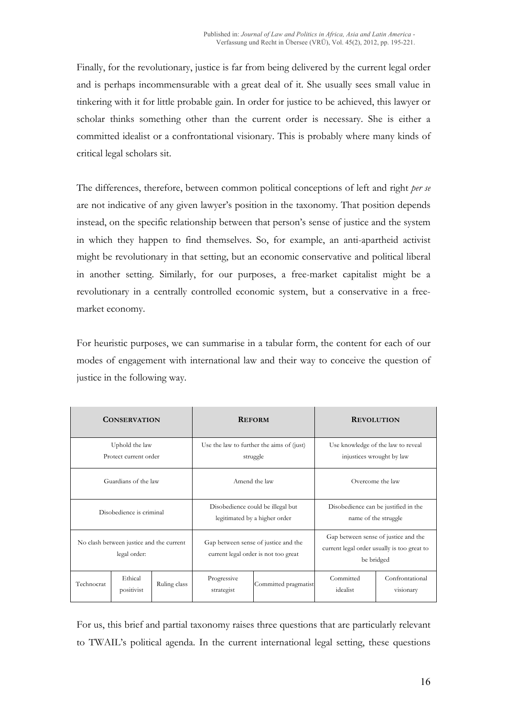Finally, for the revolutionary, justice is far from being delivered by the current legal order and is perhaps incommensurable with a great deal of it. She usually sees small value in tinkering with it for little probable gain. In order for justice to be achieved, this lawyer or scholar thinks something other than the current order is necessary. She is either a committed idealist or a confrontational visionary. This is probably where many kinds of critical legal scholars sit.

The differences, therefore, between common political conceptions of left and right *per se* are not indicative of any given lawyer's position in the taxonomy. That position depends instead, on the specific relationship between that person's sense of justice and the system in which they happen to find themselves. So, for example, an anti-apartheid activist might be revolutionary in that setting, but an economic conservative and political liberal in another setting. Similarly, for our purposes, a free-market capitalist might be a revolutionary in a centrally controlled economic system, but a conservative in a freemarket economy.

For heuristic purposes, we can summarise in a tabular form, the content for each of our modes of engagement with international law and their way to conceive the question of justice in the following way.

| <b>CONSERVATION</b>                                      |                       |              | <b>REFORM</b>                                                                |                      | <b>REVOLUTION</b>                                                                                 |                              |
|----------------------------------------------------------|-----------------------|--------------|------------------------------------------------------------------------------|----------------------|---------------------------------------------------------------------------------------------------|------------------------------|
| Uphold the law<br>Protect current order                  |                       |              | Use the law to further the aims of (just)<br>struggle                        |                      | Use knowledge of the law to reveal<br>injustices wrought by law                                   |                              |
| Guardians of the law                                     |                       |              | Amend the law                                                                |                      | Overcome the law                                                                                  |                              |
| Disobedience is criminal                                 |                       |              | Disobedience could be illegal but<br>legitimated by a higher order           |                      | Disobedience can be justified in the<br>name of the struggle                                      |                              |
| No clash between justice and the current<br>legal order: |                       |              | Gap between sense of justice and the<br>current legal order is not too great |                      | Gap between sense of justice and the<br>current legal order usually is too great to<br>be bridged |                              |
| Technocrat                                               | Ethical<br>positivist | Ruling class | Progressive<br>strategist                                                    | Committed pragmatist | Committed<br>idealist                                                                             | Confrontational<br>visionary |

For us, this brief and partial taxonomy raises three questions that are particularly relevant to TWAIL's political agenda. In the current international legal setting, these questions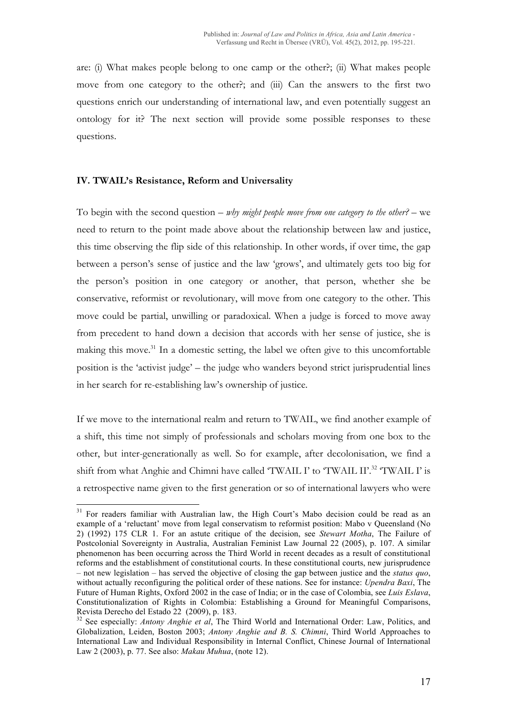are: (i) What makes people belong to one camp or the other?; (ii) What makes people move from one category to the other?; and (iii) Can the answers to the first two questions enrich our understanding of international law, and even potentially suggest an ontology for it? The next section will provide some possible responses to these questions.

# **IV. TWAIL's Resistance, Reform and Universality**

To begin with the second question – *why might people move from one category to the other?* – we need to return to the point made above about the relationship between law and justice, this time observing the flip side of this relationship. In other words, if over time, the gap between a person's sense of justice and the law 'grows', and ultimately gets too big for the person's position in one category or another, that person, whether she be conservative, reformist or revolutionary, will move from one category to the other. This move could be partial, unwilling or paradoxical. When a judge is forced to move away from precedent to hand down a decision that accords with her sense of justice, she is making this move.<sup>31</sup> In a domestic setting, the label we often give to this uncomfortable position is the 'activist judge' – the judge who wanders beyond strict jurisprudential lines in her search for re-establishing law's ownership of justice.

If we move to the international realm and return to TWAIL, we find another example of a shift, this time not simply of professionals and scholars moving from one box to the other, but inter-generationally as well. So for example, after decolonisation, we find a shift from what Anghie and Chimni have called 'TWAIL I' to 'TWAIL II'.<sup>32</sup> 'TWAIL I' is a retrospective name given to the first generation or so of international lawyers who were

<sup>&</sup>lt;sup>31</sup> For readers familiar with Australian law, the High Court's Mabo decision could be read as an example of a 'reluctant' move from legal conservatism to reformist position: Mabo v Queensland (No 2) (1992) 175 CLR 1. For an astute critique of the decision, see *Stewart Motha*, The Failure of Postcolonial Sovereignty in Australia, Australian Feminist Law Journal 22 (2005), p. 107. A similar phenomenon has been occurring across the Third World in recent decades as a result of constitutional reforms and the establishment of constitutional courts. In these constitutional courts, new jurisprudence – not new legislation – has served the objective of closing the gap between justice and the *status quo*, without actually reconfiguring the political order of these nations. See for instance: *Upendra Baxi*, The Future of Human Rights, Oxford 2002 in the case of India; or in the case of Colombia, see *Luis Eslava*, Constitutionalization of Rights in Colombia: Establishing a Ground for Meaningful Comparisons,

Revista Derecho del Estado 22 (2009), p. 183. 32 See especially: *Antony Anghie et al*, The Third World and International Order: Law, Politics, and Globalization, Leiden, Boston 2003; *Antony Anghie and B. S. Chimni*, Third World Approaches to International Law and Individual Responsibility in Internal Conflict, Chinese Journal of International Law 2 (2003), p. 77. See also: *Makau Muhua*, (note 12).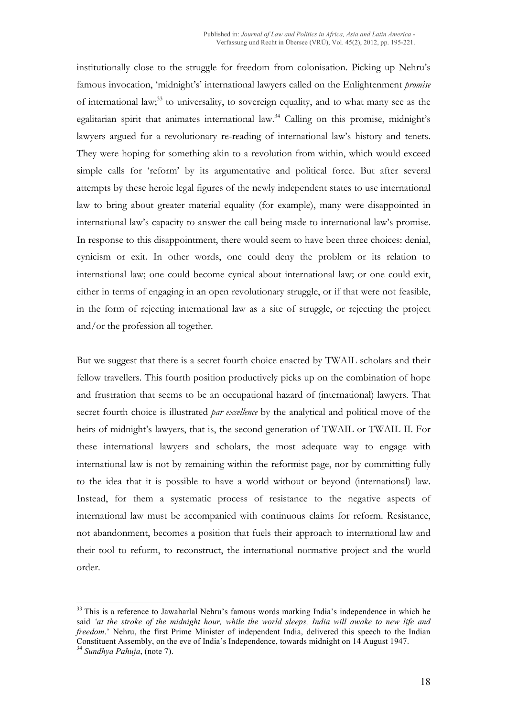institutionally close to the struggle for freedom from colonisation. Picking up Nehru's famous invocation, 'midnight's' international lawyers called on the Enlightenment *promise* of international law;<sup>33</sup> to universality, to sovereign equality, and to what many see as the egalitarian spirit that animates international law.<sup>34</sup> Calling on this promise, midnight's lawyers argued for a revolutionary re-reading of international law's history and tenets. They were hoping for something akin to a revolution from within, which would exceed simple calls for 'reform' by its argumentative and political force. But after several attempts by these heroic legal figures of the newly independent states to use international law to bring about greater material equality (for example), many were disappointed in international law's capacity to answer the call being made to international law's promise. In response to this disappointment, there would seem to have been three choices: denial, cynicism or exit. In other words, one could deny the problem or its relation to international law; one could become cynical about international law; or one could exit, either in terms of engaging in an open revolutionary struggle, or if that were not feasible, in the form of rejecting international law as a site of struggle, or rejecting the project and/or the profession all together.

But we suggest that there is a secret fourth choice enacted by TWAIL scholars and their fellow travellers. This fourth position productively picks up on the combination of hope and frustration that seems to be an occupational hazard of (international) lawyers. That secret fourth choice is illustrated *par excellence* by the analytical and political move of the heirs of midnight's lawyers, that is, the second generation of TWAIL or TWAIL II. For these international lawyers and scholars, the most adequate way to engage with international law is not by remaining within the reformist page, nor by committing fully to the idea that it is possible to have a world without or beyond (international) law. Instead, for them a systematic process of resistance to the negative aspects of international law must be accompanied with continuous claims for reform. Resistance, not abandonment, becomes a position that fuels their approach to international law and their tool to reform, to reconstruct, the international normative project and the world order.

 $33$  This is a reference to Jawaharlal Nehru's famous words marking India's independence in which he said *'at the stroke of the midnight hour, while the world sleeps, India will awake to new life and freedom*.' Nehru, the first Prime Minister of independent India, delivered this speech to the Indian Constituent Assembly, on the eve of India's Independence, towards midnight on 14 August 1947. <sup>34</sup> *Sundhya Pahuja*, (note 7).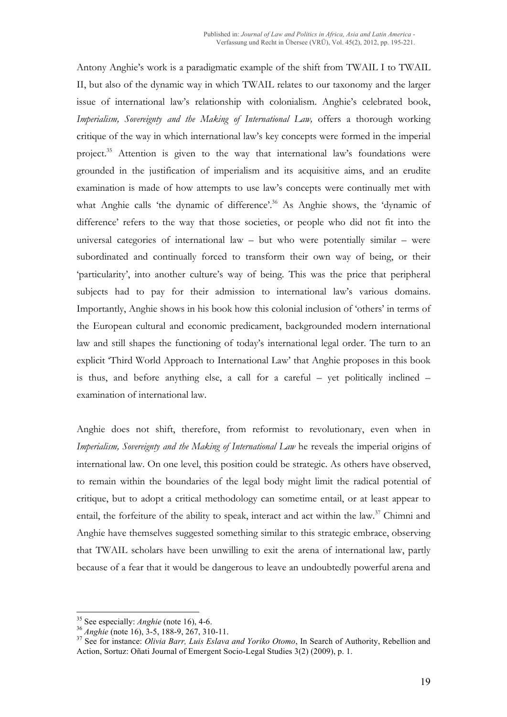Antony Anghie's work is a paradigmatic example of the shift from TWAIL I to TWAIL II, but also of the dynamic way in which TWAIL relates to our taxonomy and the larger issue of international law's relationship with colonialism. Anghie's celebrated book, *Imperialism, Sovereignty and the Making of International Law,* offers a thorough working critique of the way in which international law's key concepts were formed in the imperial project.<sup>35</sup> Attention is given to the way that international law's foundations were grounded in the justification of imperialism and its acquisitive aims, and an erudite examination is made of how attempts to use law's concepts were continually met with what Anghie calls 'the dynamic of difference'.<sup>36</sup> As Anghie shows, the 'dynamic of difference' refers to the way that those societies, or people who did not fit into the universal categories of international law – but who were potentially similar – were subordinated and continually forced to transform their own way of being, or their 'particularity', into another culture's way of being. This was the price that peripheral subjects had to pay for their admission to international law's various domains. Importantly, Anghie shows in his book how this colonial inclusion of 'others' in terms of the European cultural and economic predicament, backgrounded modern international law and still shapes the functioning of today's international legal order. The turn to an explicit 'Third World Approach to International Law' that Anghie proposes in this book is thus, and before anything else, a call for a careful – yet politically inclined – examination of international law.

Anghie does not shift, therefore, from reformist to revolutionary, even when in *Imperialism, Sovereignty and the Making of International Law* he reveals the imperial origins of international law. On one level, this position could be strategic. As others have observed, to remain within the boundaries of the legal body might limit the radical potential of critique, but to adopt a critical methodology can sometime entail, or at least appear to entail, the forfeiture of the ability to speak, interact and act within the law.<sup>37</sup> Chimni and Anghie have themselves suggested something similar to this strategic embrace, observing that TWAIL scholars have been unwilling to exit the arena of international law, partly because of a fear that it would be dangerous to leave an undoubtedly powerful arena and

<sup>&</sup>lt;sup>35</sup> See especially: *Anghie* (note 16), 4-6.<br><sup>36</sup> *Anghie* (note 16), 3-5, 188-9, 267, 310-11.<br><sup>37</sup> See for instance: *Olivia Barr, Luis Eslava and Yoriko Otomo*, In Search of Authority, Rebellion and Action, Sortuz: Oñati Journal of Emergent Socio-Legal Studies 3(2) (2009), p. 1.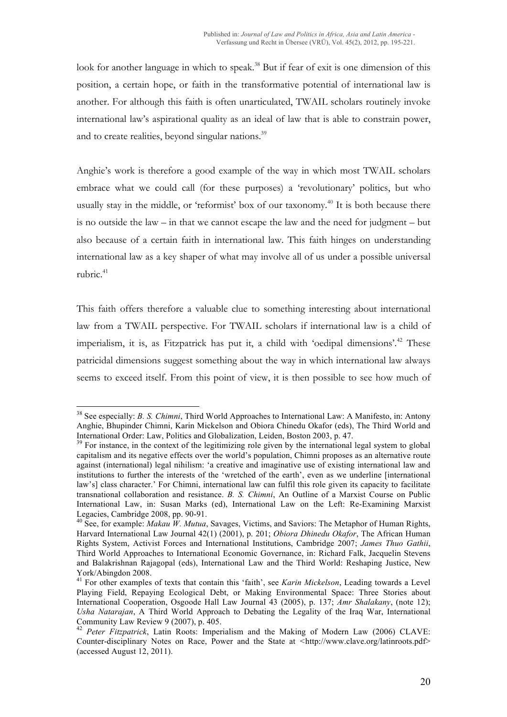look for another language in which to speak.<sup>38</sup> But if fear of exit is one dimension of this position, a certain hope, or faith in the transformative potential of international law is another. For although this faith is often unarticulated, TWAIL scholars routinely invoke international law's aspirational quality as an ideal of law that is able to constrain power, and to create realities, beyond singular nations.<sup>39</sup>

Anghie's work is therefore a good example of the way in which most TWAIL scholars embrace what we could call (for these purposes) a 'revolutionary' politics, but who usually stay in the middle, or 'reformist' box of our taxonomy.<sup>40</sup> It is both because there is no outside the law – in that we cannot escape the law and the need for judgment – but also because of a certain faith in international law. This faith hinges on understanding international law as a key shaper of what may involve all of us under a possible universal rubric.<sup>41</sup>

This faith offers therefore a valuable clue to something interesting about international law from a TWAIL perspective. For TWAIL scholars if international law is a child of imperialism, it is, as Fitzpatrick has put it, a child with 'oedipal dimensions'.<sup>42</sup> These patricidal dimensions suggest something about the way in which international law always seems to exceed itself. From this point of view, it is then possible to see how much of

 <sup>38</sup> See especially: *B. S. Chimni*, Third World Approaches to International Law: A Manifesto, in: Antony Anghie, Bhupinder Chimni, Karin Mickelson and Obiora Chinedu Okafor (eds), The Third World and International Order: Law, Politics and Globalization, Leiden, Boston 2003, p. 47.

 $39$  For instance, in the context of the legitimizing role given by the international legal system to global capitalism and its negative effects over the world's population, Chimni proposes as an alternative route against (international) legal nihilism: 'a creative and imaginative use of existing international law and institutions to further the interests of the 'wretched of the earth', even as we underline [international law's] class character.' For Chimni, international law can fulfil this role given its capacity to facilitate transnational collaboration and resistance. *B. S. Chimni*, An Outline of a Marxist Course on Public International Law, in: Susan Marks (ed), International Law on the Left: Re-Examining Marxist

Legacies, Cambridge 2008, pp. 90-91.<br><sup>40</sup> See, for example: *Makau W. Mutua*, Savages, Victims, and Saviors: The Metaphor of Human Rights, Harvard International Law Journal 42(1) (2001), p. 201; *Obiora Dhinedu Okafor*, The African Human Rights System, Activist Forces and International Institutions, Cambridge 2007; *James Thuo Gathii*, Third World Approaches to International Economic Governance, in: Richard Falk, Jacquelin Stevens and Balakrishnan Rajagopal (eds), International Law and the Third World: Reshaping Justice, New

York/Abingdon 2008. 41 For other examples of texts that contain this 'faith', see *Karin Mickelson*, Leading towards a Level Playing Field, Repaying Ecological Debt, or Making Environmental Space: Three Stories about International Cooperation, Osgoode Hall Law Journal 43 (2005), p. 137; *Amr Shalakany*, (note 12); *Usha Natarajan*, A Third World Approach to Debating the Legality of the Iraq War, International

Community Law Review 9 (2007), p. 405.<br><sup>42</sup> *Peter Fitzpatrick*, Latin Roots: Imperialism and the Making of Modern Law (2006) CLAVE: Counter-disciplinary Notes on Race, Power and the State at *<*http://www.clave.org/latinroots.pdf> (accessed August 12, 2011).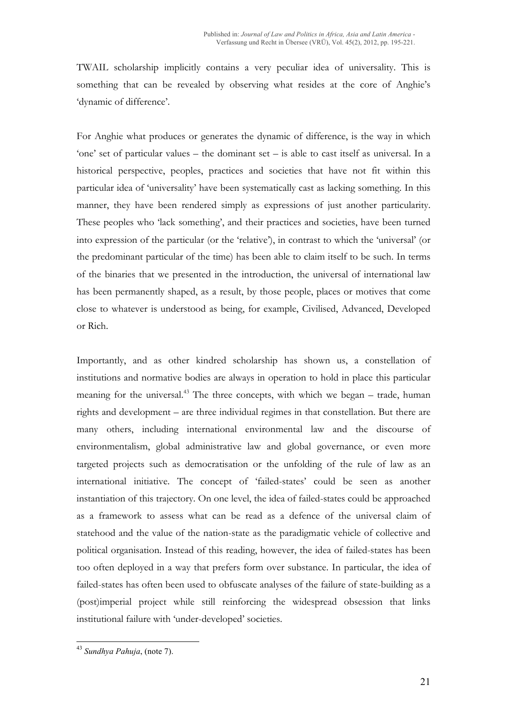TWAIL scholarship implicitly contains a very peculiar idea of universality. This is something that can be revealed by observing what resides at the core of Anghie's 'dynamic of difference'.

For Anghie what produces or generates the dynamic of difference, is the way in which 'one' set of particular values – the dominant set – is able to cast itself as universal. In a historical perspective, peoples, practices and societies that have not fit within this particular idea of 'universality' have been systematically cast as lacking something. In this manner, they have been rendered simply as expressions of just another particularity. These peoples who 'lack something', and their practices and societies, have been turned into expression of the particular (or the 'relative'), in contrast to which the 'universal' (or the predominant particular of the time) has been able to claim itself to be such. In terms of the binaries that we presented in the introduction, the universal of international law has been permanently shaped, as a result, by those people, places or motives that come close to whatever is understood as being, for example, Civilised, Advanced, Developed or Rich.

Importantly, and as other kindred scholarship has shown us, a constellation of institutions and normative bodies are always in operation to hold in place this particular meaning for the universal.<sup>43</sup> The three concepts, with which we began  $-$  trade, human rights and development – are three individual regimes in that constellation. But there are many others, including international environmental law and the discourse of environmentalism, global administrative law and global governance, or even more targeted projects such as democratisation or the unfolding of the rule of law as an international initiative. The concept of 'failed-states' could be seen as another instantiation of this trajectory. On one level, the idea of failed-states could be approached as a framework to assess what can be read as a defence of the universal claim of statehood and the value of the nation-state as the paradigmatic vehicle of collective and political organisation. Instead of this reading, however, the idea of failed-states has been too often deployed in a way that prefers form over substance. In particular, the idea of failed-states has often been used to obfuscate analyses of the failure of state-building as a (post)imperial project while still reinforcing the widespread obsession that links institutional failure with 'under-developed' societies.

 <sup>43</sup> *Sundhya Pahuja*, (note 7).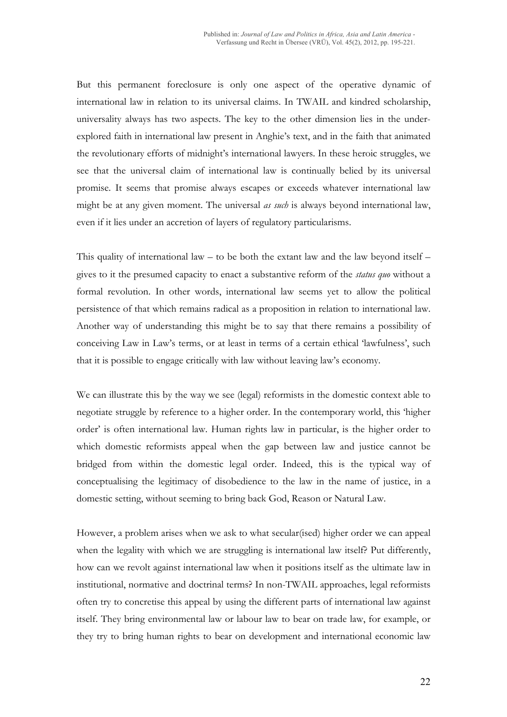But this permanent foreclosure is only one aspect of the operative dynamic of international law in relation to its universal claims. In TWAIL and kindred scholarship, universality always has two aspects. The key to the other dimension lies in the underexplored faith in international law present in Anghie's text, and in the faith that animated the revolutionary efforts of midnight's international lawyers. In these heroic struggles, we see that the universal claim of international law is continually belied by its universal promise. It seems that promise always escapes or exceeds whatever international law might be at any given moment. The universal *as such* is always beyond international law, even if it lies under an accretion of layers of regulatory particularisms.

This quality of international law – to be both the extant law and the law beyond itself – gives to it the presumed capacity to enact a substantive reform of the *status quo* without a formal revolution. In other words, international law seems yet to allow the political persistence of that which remains radical as a proposition in relation to international law. Another way of understanding this might be to say that there remains a possibility of conceiving Law in Law's terms, or at least in terms of a certain ethical 'lawfulness', such that it is possible to engage critically with law without leaving law's economy.

We can illustrate this by the way we see (legal) reformists in the domestic context able to negotiate struggle by reference to a higher order. In the contemporary world, this 'higher order' is often international law. Human rights law in particular, is the higher order to which domestic reformists appeal when the gap between law and justice cannot be bridged from within the domestic legal order. Indeed, this is the typical way of conceptualising the legitimacy of disobedience to the law in the name of justice, in a domestic setting, without seeming to bring back God, Reason or Natural Law.

However, a problem arises when we ask to what secular(ised) higher order we can appeal when the legality with which we are struggling is international law itself? Put differently, how can we revolt against international law when it positions itself as the ultimate law in institutional, normative and doctrinal terms? In non-TWAIL approaches, legal reformists often try to concretise this appeal by using the different parts of international law against itself. They bring environmental law or labour law to bear on trade law, for example, or they try to bring human rights to bear on development and international economic law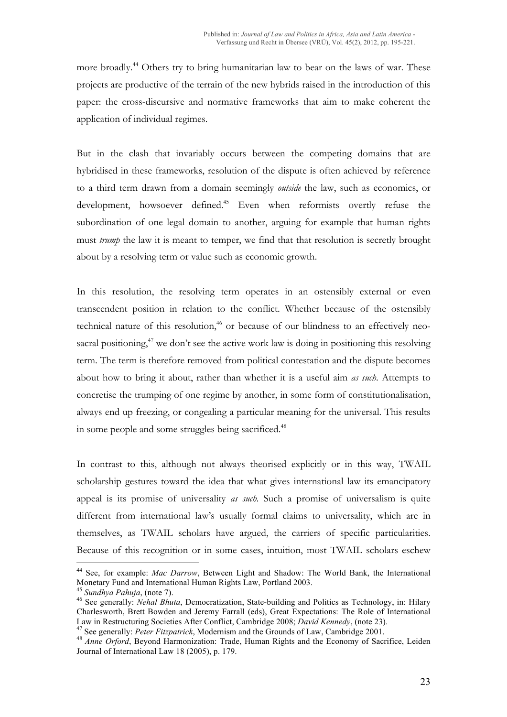more broadly.44 Others try to bring humanitarian law to bear on the laws of war. These projects are productive of the terrain of the new hybrids raised in the introduction of this paper: the cross-discursive and normative frameworks that aim to make coherent the application of individual regimes.

But in the clash that invariably occurs between the competing domains that are hybridised in these frameworks, resolution of the dispute is often achieved by reference to a third term drawn from a domain seemingly *outside* the law, such as economics, or development, howsoever defined.<sup>45</sup> Even when reformists overtly refuse the subordination of one legal domain to another, arguing for example that human rights must *trump* the law it is meant to temper, we find that that resolution is secretly brought about by a resolving term or value such as economic growth.

In this resolution, the resolving term operates in an ostensibly external or even transcendent position in relation to the conflict. Whether because of the ostensibly technical nature of this resolution,<sup>46</sup> or because of our blindness to an effectively neosacral positioning, $47$  we don't see the active work law is doing in positioning this resolving term. The term is therefore removed from political contestation and the dispute becomes about how to bring it about, rather than whether it is a useful aim *as such*. Attempts to concretise the trumping of one regime by another, in some form of constitutionalisation, always end up freezing, or congealing a particular meaning for the universal. This results in some people and some struggles being sacrificed.<sup>48</sup>

In contrast to this, although not always theorised explicitly or in this way, TWAIL scholarship gestures toward the idea that what gives international law its emancipatory appeal is its promise of universality *as such.* Such a promise of universalism is quite different from international law's usually formal claims to universality, which are in themselves, as TWAIL scholars have argued, the carriers of specific particularities. Because of this recognition or in some cases, intuition, most TWAIL scholars eschew

<sup>&</sup>lt;sup>44</sup> See, for example: *Mac Darrow*, Between Light and Shadow: The World Bank, the International Monetary Fund and International Human Rights Law, Portland 2003.

<sup>&</sup>lt;sup>45</sup> Sundhya Pahuja, (note 7).<br><sup>46</sup> See generally: *Nehal Bhuta*, Democratization, State-building and Politics as Technology, in: Hilary Charlesworth, Brett Bowden and Jeremy Farrall (eds), Great Expectations: The Role of International Law in Restructuring Societies After Conflict, Cambridge 2008; *David Kennedy*, (note 23).

<sup>&</sup>lt;sup>47</sup> See generally: *Peter Fitzpatrick*, Modernism and the Grounds of Law, Cambridge 2001.<br><sup>48</sup> Anne Orford, Beyond Harmonization: Trade, Human Rights and the Economy of Sacrifice, Leiden Journal of International Law 18 (2005), p. 179.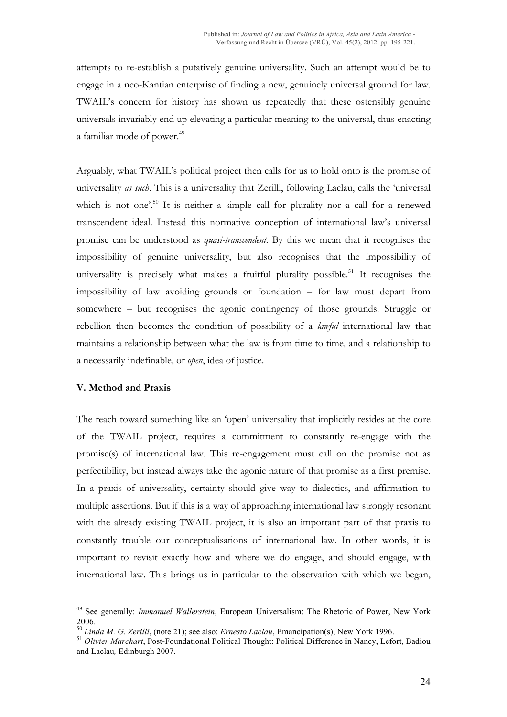attempts to re-establish a putatively genuine universality. Such an attempt would be to engage in a neo-Kantian enterprise of finding a new, genuinely universal ground for law. TWAIL's concern for history has shown us repeatedly that these ostensibly genuine universals invariably end up elevating a particular meaning to the universal, thus enacting a familiar mode of power.<sup>49</sup>

Arguably, what TWAIL's political project then calls for us to hold onto is the promise of universality *as such*. This is a universality that Zerilli, following Laclau, calls the 'universal which is not one'.<sup>50</sup> It is neither a simple call for plurality nor a call for a renewed transcendent ideal. Instead this normative conception of international law's universal promise can be understood as *quasi-transcendent.* By this we mean that it recognises the impossibility of genuine universality, but also recognises that the impossibility of universality is precisely what makes a fruitful plurality possible.<sup>51</sup> It recognises the impossibility of law avoiding grounds or foundation – for law must depart from somewhere – but recognises the agonic contingency of those grounds. Struggle or rebellion then becomes the condition of possibility of a *lawful* international law that maintains a relationship between what the law is from time to time, and a relationship to a necessarily indefinable, or *open*, idea of justice.

# **V. Method and Praxis**

The reach toward something like an 'open' universality that implicitly resides at the core of the TWAIL project, requires a commitment to constantly re-engage with the promise(s) of international law. This re-engagement must call on the promise not as perfectibility, but instead always take the agonic nature of that promise as a first premise. In a praxis of universality, certainty should give way to dialectics, and affirmation to multiple assertions. But if this is a way of approaching international law strongly resonant with the already existing TWAIL project, it is also an important part of that praxis to constantly trouble our conceptualisations of international law. In other words, it is important to revisit exactly how and where we do engage, and should engage, with international law. This brings us in particular to the observation with which we began,

 <sup>49</sup> See generally: *Immanuel Wallerstein*, European Universalism: The Rhetoric of Power, New York 2006. <sup>50</sup> *Linda M. G. Zerilli*, (note 21); see also: *Ernesto Laclau*, Emancipation(s), New York 1996. <sup>51</sup> *Olivier Marchart*, Post-Foundational Political Thought: Political Difference in Nancy, Lefort, Badiou

and Laclau*,* Edinburgh 2007.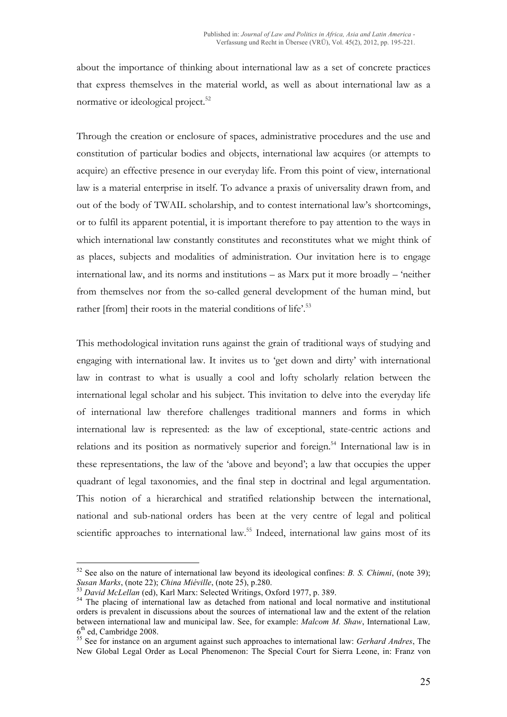about the importance of thinking about international law as a set of concrete practices that express themselves in the material world, as well as about international law as a normative or ideological project.<sup>52</sup>

Through the creation or enclosure of spaces, administrative procedures and the use and constitution of particular bodies and objects, international law acquires (or attempts to acquire) an effective presence in our everyday life. From this point of view, international law is a material enterprise in itself. To advance a praxis of universality drawn from, and out of the body of TWAIL scholarship, and to contest international law's shortcomings, or to fulfil its apparent potential, it is important therefore to pay attention to the ways in which international law constantly constitutes and reconstitutes what we might think of as places, subjects and modalities of administration. Our invitation here is to engage international law, and its norms and institutions – as Marx put it more broadly – 'neither from themselves nor from the so-called general development of the human mind, but rather [from] their roots in the material conditions of life'.<sup>53</sup>

This methodological invitation runs against the grain of traditional ways of studying and engaging with international law. It invites us to 'get down and dirty' with international law in contrast to what is usually a cool and lofty scholarly relation between the international legal scholar and his subject. This invitation to delve into the everyday life of international law therefore challenges traditional manners and forms in which international law is represented: as the law of exceptional, state-centric actions and relations and its position as normatively superior and foreign.<sup>54</sup> International law is in these representations, the law of the 'above and beyond'; a law that occupies the upper quadrant of legal taxonomies, and the final step in doctrinal and legal argumentation. This notion of a hierarchical and stratified relationship between the international, national and sub-national orders has been at the very centre of legal and political scientific approaches to international law.<sup>55</sup> Indeed, international law gains most of its

<sup>&</sup>lt;sup>52</sup> See also on the nature of international law beyond its ideological confines: *B. S. Chimni*, (note 39); *Susan Marks*, (note 22); *China Miéville*, (note 25), p.280.

 $^{53}$  David McLellan (ed), Karl Marx: Selected Writings, Oxford 1977, p. 389.<br><sup>54</sup> The placing of international law as detached from national and local normative and institutional orders is prevalent in discussions about the sources of international law and the extent of the relation between international law and municipal law. See, for example: *Malcom M. Shaw*, International Law*,* 

<sup>&</sup>lt;sup>55</sup> See for instance on an argument against such approaches to international law: *Gerhard Andres*, The New Global Legal Order as Local Phenomenon: The Special Court for Sierra Leone, in: Franz von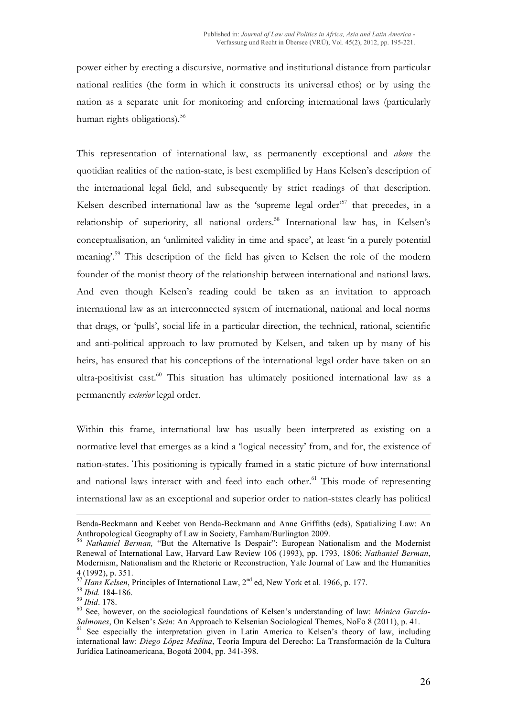power either by erecting a discursive, normative and institutional distance from particular national realities (the form in which it constructs its universal ethos) or by using the nation as a separate unit for monitoring and enforcing international laws (particularly human rights obligations).<sup>56</sup>

This representation of international law, as permanently exceptional and *above* the quotidian realities of the nation-state, is best exemplified by Hans Kelsen's description of the international legal field, and subsequently by strict readings of that description. Kelsen described international law as the 'supreme legal order<sup>57</sup> that precedes, in a relationship of superiority, all national orders.<sup>58</sup> International law has, in Kelsen's conceptualisation, an 'unlimited validity in time and space', at least 'in a purely potential meaning'.59 This description of the field has given to Kelsen the role of the modern founder of the monist theory of the relationship between international and national laws. And even though Kelsen's reading could be taken as an invitation to approach international law as an interconnected system of international, national and local norms that drags, or 'pulls', social life in a particular direction, the technical, rational, scientific and anti-political approach to law promoted by Kelsen, and taken up by many of his heirs, has ensured that his conceptions of the international legal order have taken on an ultra-positivist cast.<sup>60</sup> This situation has ultimately positioned international law as a permanently *exterior* legal order.

Within this frame, international law has usually been interpreted as existing on a normative level that emerges as a kind a 'logical necessity' from, and for, the existence of nation-states. This positioning is typically framed in a static picture of how international and national laws interact with and feed into each other.<sup>61</sup> This mode of representing international law as an exceptional and superior order to nation-states clearly has political

Benda-Beckmann and Keebet von Benda-Beckmann and Anne Griffiths (eds), Spatializing Law: An Anthropological Geography of Law in Society, Farnham/Burlington 2009. <sup>56</sup> *Nathaniel Berman,* "But the Alternative Is Despair": European Nationalism and the Modernist

Renewal of International Law, Harvard Law Review 106 (1993), pp. 1793, 1806; *Nathaniel Berman*, Modernism, Nationalism and the Rhetoric or Reconstruction, Yale Journal of Law and the Humanities

<sup>4 (1992),</sup> p. 351.<br><sup>57</sup> Hans Kelsen, Principles of International Law, 2<sup>nd</sup> ed, New York et al. 1966, p. 177.<br><sup>58</sup> Ibid. 184-186.<br><sup>59</sup> Ibid. 178.<br><sup>60</sup> See, however, on the sociological foundations of Kelsen's understanding

<sup>&</sup>lt;sup>61</sup> See especially the interpretation given in Latin America to Kelsen's theory of law, including international law: *Diego López Medina*, Teoría Impura del Derecho: La Transformación de la Cultura Jurídica Latinoamericana, Bogotá 2004, pp. 341-398.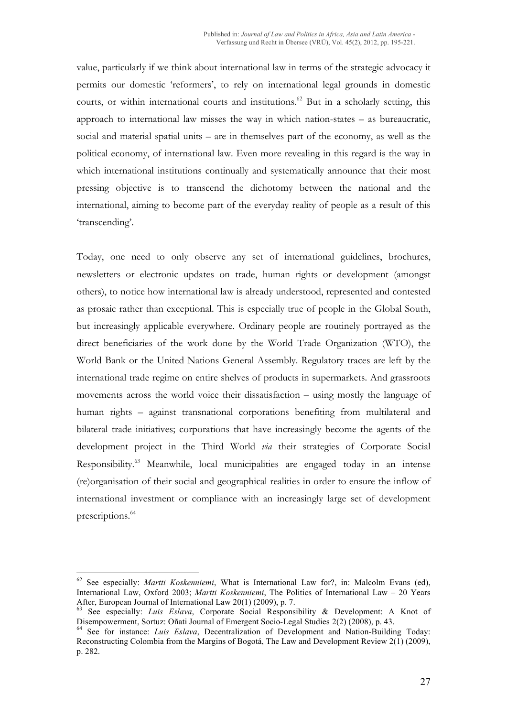value, particularly if we think about international law in terms of the strategic advocacy it permits our domestic 'reformers', to rely on international legal grounds in domestic courts, or within international courts and institutions.<sup>62</sup> But in a scholarly setting, this approach to international law misses the way in which nation-states – as bureaucratic, social and material spatial units – are in themselves part of the economy, as well as the political economy, of international law. Even more revealing in this regard is the way in which international institutions continually and systematically announce that their most pressing objective is to transcend the dichotomy between the national and the international, aiming to become part of the everyday reality of people as a result of this 'transcending'.

Today, one need to only observe any set of international guidelines, brochures, newsletters or electronic updates on trade, human rights or development (amongst others), to notice how international law is already understood, represented and contested as prosaic rather than exceptional. This is especially true of people in the Global South, but increasingly applicable everywhere. Ordinary people are routinely portrayed as the direct beneficiaries of the work done by the World Trade Organization (WTO), the World Bank or the United Nations General Assembly. Regulatory traces are left by the international trade regime on entire shelves of products in supermarkets. And grassroots movements across the world voice their dissatisfaction – using mostly the language of human rights – against transnational corporations benefiting from multilateral and bilateral trade initiatives; corporations that have increasingly become the agents of the development project in the Third World *via* their strategies of Corporate Social Responsibility.63 Meanwhile, local municipalities are engaged today in an intense (re)organisation of their social and geographical realities in order to ensure the inflow of international investment or compliance with an increasingly large set of development prescriptions.<sup>64</sup>

 <sup>62</sup> See especially: *Martti Koskenniemi*, What is International Law for?, in: Malcolm Evans (ed), International Law, Oxford 2003; *Martti Koskenniemi*, The Politics of International Law – 20 Years

After, European Journal of International Law 20(1) (2009), p. 7.<br><sup>63</sup> See especially: *Luis Eslava*, Corporate Social Responsibility & Development: A Knot of Disempowerment, Sortuz: Oñati Journal of Emergent Socio-Legal St

<sup>&</sup>lt;sup>64</sup> See for instance: Luis Eslava, Decentralization of Development and Nation-Building Today: Reconstructing Colombia from the Margins of Bogotá, The Law and Development Review 2(1) (2009), p. 282.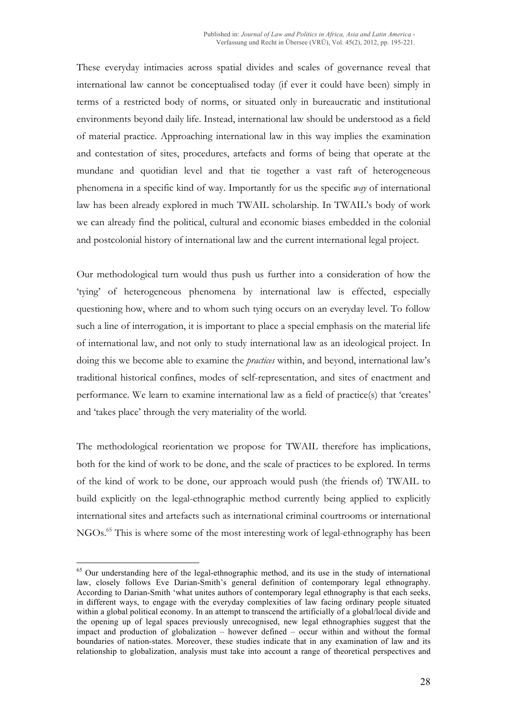These everyday intimacies across spatial divides and scales of governance reveal that international law cannot be conceptualised today (if ever it could have been) simply in terms of a restricted body of norms, or situated only in bureaucratic and institutional environments beyond daily life. Instead, international law should be understood as a field of material practice. Approaching international law in this way implies the examination and contestation of sites, procedures, artefacts and forms of being that operate at the mundane and quotidian level and that tie together a vast raft of heterogeneous phenomena in a specific kind of way. Importantly for us the specific *way* of international law has been already explored in much TWAIL scholarship. In TWAIL's body of work we can already find the political, cultural and economic biases embedded in the colonial and postcolonial history of international law and the current international legal project.

Our methodological turn would thus push us further into a consideration of how the 'tying' of heterogeneous phenomena by international law is effected, especially questioning how, where and to whom such tying occurs on an everyday level. To follow such a line of interrogation, it is important to place a special emphasis on the material life of international law, and not only to study international law as an ideological project. In doing this we become able to examine the *practices* within, and beyond, international law's traditional historical confines, modes of self-representation, and sites of enactment and performance. We learn to examine international law as a field of practice(s) that 'creates' and 'takes place' through the very materiality of the world.

The methodological reorientation we propose for TWAIL therefore has implications, both for the kind of work to be done, and the scale of practices to be explored. In terms of the kind of work to be done, our approach would push (the friends of) TWAIL to build explicitly on the legal-ethnographic method currently being applied to explicitly international sites and artefacts such as international criminal courtrooms or international NGOs.65 This is where some of the most interesting work of legal-ethnography has been

<sup>&</sup>lt;sup>65</sup> Our understanding here of the legal-ethnographic method, and its use in the study of international law, closely follows Eve Darian-Smith's general definition of contemporary legal ethnography. According to Darian-Smith 'what unites authors of contemporary legal ethnography is that each seeks, in different ways, to engage with the everyday complexities of law facing ordinary people situated within a global political economy. In an attempt to transcend the artificially of a global/local divide and the opening up of legal spaces previously unrecognised, new legal ethnographies suggest that the impact and production of globalization – however defined – occur within and without the formal boundaries of nation-states. Moreover, these studies indicate that in any examination of law and its relationship to globalization, analysis must take into account a range of theoretical perspectives and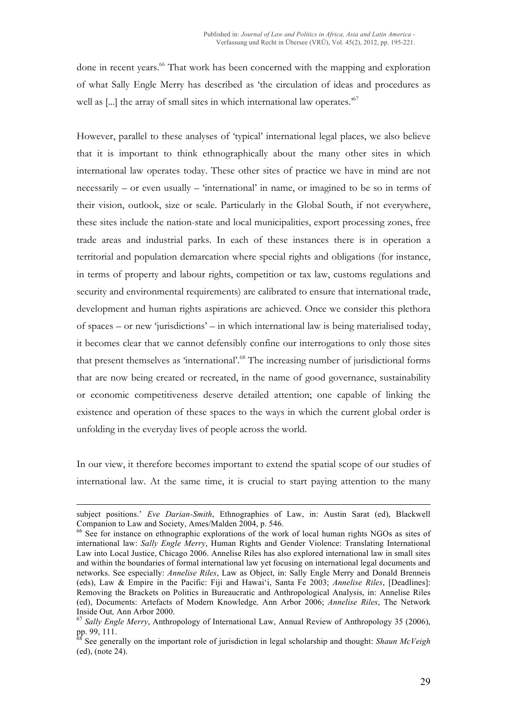done in recent years.<sup>66</sup> That work has been concerned with the mapping and exploration of what Sally Engle Merry has described as 'the circulation of ideas and procedures as well as [...] the array of small sites in which international law operates.<sup>567</sup>

However, parallel to these analyses of 'typical' international legal places, we also believe that it is important to think ethnographically about the many other sites in which international law operates today. These other sites of practice we have in mind are not necessarily – or even usually – 'international' in name, or imagined to be so in terms of their vision, outlook, size or scale. Particularly in the Global South, if not everywhere, these sites include the nation-state and local municipalities, export processing zones, free trade areas and industrial parks. In each of these instances there is in operation a territorial and population demarcation where special rights and obligations (for instance, in terms of property and labour rights, competition or tax law, customs regulations and security and environmental requirements) are calibrated to ensure that international trade, development and human rights aspirations are achieved. Once we consider this plethora of spaces – or new 'jurisdictions' – in which international law is being materialised today, it becomes clear that we cannot defensibly confine our interrogations to only those sites that present themselves as 'international'.68 The increasing number of jurisdictional forms that are now being created or recreated, in the name of good governance, sustainability or economic competitiveness deserve detailed attention; one capable of linking the existence and operation of these spaces to the ways in which the current global order is unfolding in the everyday lives of people across the world.

In our view, it therefore becomes important to extend the spatial scope of our studies of international law. At the same time, it is crucial to start paying attention to the many

subject positions.' *Eve Darian-Smith*, Ethnographies of Law, in: Austin Sarat (ed), Blackwell Companion to Law and Society, Ames/Malden 2004, p. 546.<br><sup>66</sup> See for instance on ethnographic explorations of the work of local human rights NGOs as sites of

international law: *Sally Engle Merry*, Human Rights and Gender Violence: Translating International Law into Local Justice, Chicago 2006. Annelise Riles has also explored international law in small sites and within the boundaries of formal international law yet focusing on international legal documents and networks. See especially: *Annelise Riles*, Law as Object, in: Sally Engle Merry and Donald Brenneis (eds), Law & Empire in the Pacific: Fiji and Hawai'i, Santa Fe 2003; *Annelise Riles*, [Deadlines]: Removing the Brackets on Politics in Bureaucratic and Anthropological Analysis, in: Annelise Riles (ed), Documents: Artefacts of Modern Knowledge*,* Ann Arbor 2006; *Annelise Riles*, The Network

Inside Out, Ann Arbor 2000.<br><sup>67</sup> *Sally Engle Merry*, Anthropology of International Law, Annual Review of Anthropology 35 (2006), pp. 99, 111.

<sup>&</sup>lt;sup>3</sup> See generally on the important role of jurisdiction in legal scholarship and thought: *Shaun McVeigh* (ed), (note 24).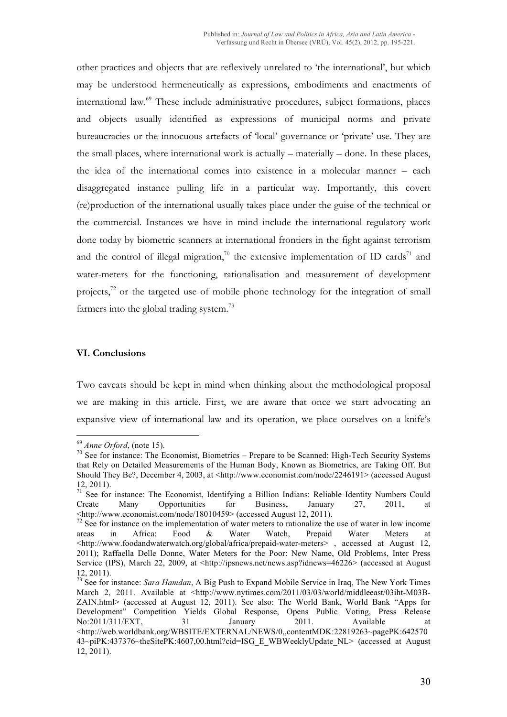other practices and objects that are reflexively unrelated to 'the international', but which may be understood hermeneutically as expressions, embodiments and enactments of international law.69 These include administrative procedures, subject formations, places and objects usually identified as expressions of municipal norms and private bureaucracies or the innocuous artefacts of 'local' governance or 'private' use. They are the small places, where international work is actually – materially – done. In these places, the idea of the international comes into existence in a molecular manner – each disaggregated instance pulling life in a particular way. Importantly, this covert (re)production of the international usually takes place under the guise of the technical or the commercial. Instances we have in mind include the international regulatory work done today by biometric scanners at international frontiers in the fight against terrorism and the control of illegal migration,<sup>70</sup> the extensive implementation of ID cards<sup>71</sup> and water-meters for the functioning, rationalisation and measurement of development projects, $72$  or the targeted use of mobile phone technology for the integration of small farmers into the global trading system.<sup>73</sup>

# **VI. Conclusions**

Two caveats should be kept in mind when thinking about the methodological proposal we are making in this article. First, we are aware that once we start advocating an expansive view of international law and its operation, we place ourselves on a knife's

 $^{69}$  *Anne Orford*, (note 15).<br><sup>70</sup> See for instance: The Economist, Biometrics – Prepare to be Scanned: High-Tech Security Systems that Rely on Detailed Measurements of the Human Body, Known as Biometrics, are Taking Off. But Should They Be?, December 4, 2003, at <http://www.economist.com/node/2246191> (accessed August 12, 2011).

<sup>&</sup>lt;sup>71</sup> See for instance: The Economist, Identifying a Billion Indians: Reliable Identity Numbers Could Create Many Opportunities for Business, January 27, 2011, at <http://www.economist.com/node/18010459> (accessed August 12, 2011).

 $72$  See for instance on the implementation of water meters to rationalize the use of water in low income areas in Africa: Food & Water Watch, Prepaid Water Meters at <http://www.foodandwaterwatch.org/global/africa/prepaid-water-meters> , accessed at August 12, 2011); Raffaella Delle Donne, Water Meters for the Poor: New Name, Old Problems, Inter Press Service (IPS), March 22, 2009, at <http://ipsnews.net/news.asp?idnews=46226> (accessed at August 12, 2011).

<sup>73</sup> See for instance: *Sara Hamdan*, A Big Push to Expand Mobile Service in Iraq, The New York Times March 2, 2011. Available at <http://www.nytimes.com/2011/03/03/world/middleeast/03iht-M03B-ZAIN.html> (accessed at August 12, 2011). See also: The World Bank, World Bank "Apps for Development" Competition Yields Global Response, Opens Public Voting, Press Release No:2011/311/EXT, 31 January 2011. Available at <http://web.worldbank.org/WBSITE/EXTERNAL/NEWS/0,,contentMDK:22819263~pagePK:642570 43~piPK:437376~theSitePK:4607,00.html?cid=ISG\_E\_WBWeeklyUpdate\_NL> (accessed at August 12, 2011).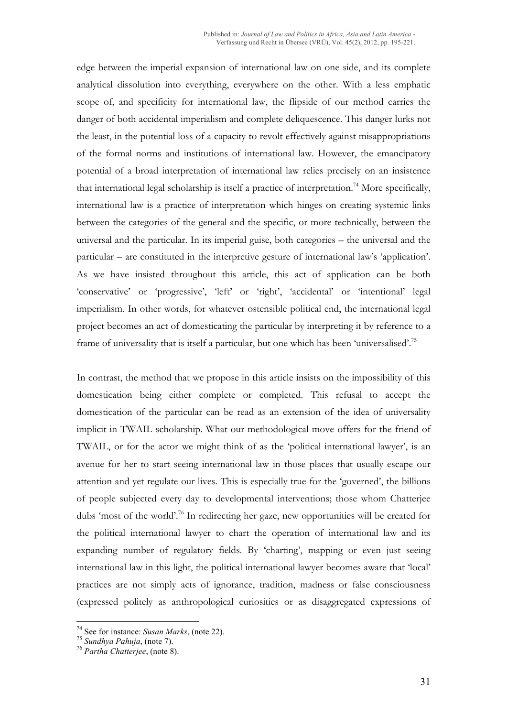edge between the imperial expansion of international law on one side, and its complete analytical dissolution into everything, everywhere on the other. With a less emphatic scope of, and specificity for international law, the flipside of our method carries the danger of both accidental imperialism and complete deliquescence. This danger lurks not the least, in the potential loss of a capacity to revolt effectively against misappropriations of the formal norms and institutions of international law. However, the emancipatory potential of a broad interpretation of international law relies precisely on an insistence that international legal scholarship is itself a practice of interpretation.<sup>74</sup> More specifically, international law is a practice of interpretation which hinges on creating systemic links between the categories of the general and the specific, or more technically, between the universal and the particular. In its imperial guise, both categories – the universal and the particular – are constituted in the interpretive gesture of international law's 'application'. As we have insisted throughout this article, this act of application can be both 'conservative' or 'progressive', 'left' or 'right', 'accidental' or 'intentional' legal imperialism. In other words, for whatever ostensible political end, the international legal project becomes an act of domesticating the particular by interpreting it by reference to a frame of universality that is itself a particular, but one which has been 'universalised'.75

In contrast, the method that we propose in this article insists on the impossibility of this domestication being either complete or completed. This refusal to accept the domestication of the particular can be read as an extension of the idea of universality implicit in TWAIL scholarship. What our methodological move offers for the friend of TWAIL, or for the actor we might think of as the 'political international lawyer', is an avenue for her to start seeing international law in those places that usually escape our attention and yet regulate our lives. This is especially true for the 'governed', the billions of people subjected every day to developmental interventions; those whom Chatterjee dubs 'most of the world'.76 In redirecting her gaze, new opportunities will be created for the political international lawyer to chart the operation of international law and its expanding number of regulatory fields. By 'charting', mapping or even just seeing international law in this light, the political international lawyer becomes aware that 'local' practices are not simply acts of ignorance, tradition, madness or false consciousness (expressed politely as anthropological curiosities or as disaggregated expressions of

 <sup>74</sup> See for instance: *Susan Marks*, (note 22). <sup>75</sup> *Sundhya Pahuja*, (note 7). <sup>76</sup> *Partha Chatterjee*, (note 8).